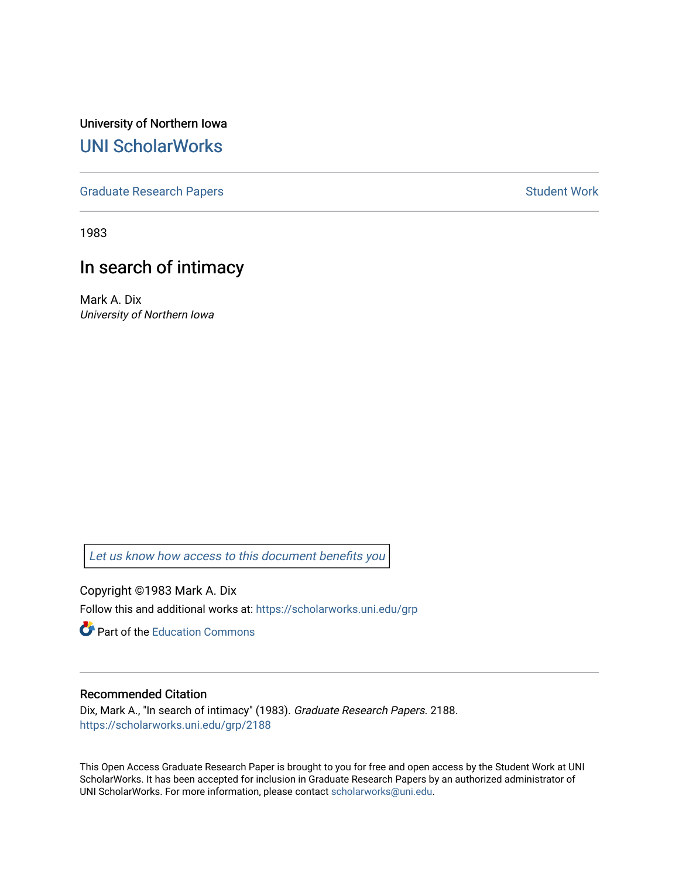University of Northern Iowa [UNI ScholarWorks](https://scholarworks.uni.edu/) 

[Graduate Research Papers](https://scholarworks.uni.edu/grp) **Student Work** Student Work

1983

# In search of intimacy

Mark A. Dix University of Northern Iowa

[Let us know how access to this document benefits you](https://scholarworks.uni.edu/feedback_form.html) 

Copyright ©1983 Mark A. Dix Follow this and additional works at: [https://scholarworks.uni.edu/grp](https://scholarworks.uni.edu/grp?utm_source=scholarworks.uni.edu%2Fgrp%2F2188&utm_medium=PDF&utm_campaign=PDFCoverPages) 

**C** Part of the [Education Commons](http://network.bepress.com/hgg/discipline/784?utm_source=scholarworks.uni.edu%2Fgrp%2F2188&utm_medium=PDF&utm_campaign=PDFCoverPages)

## Recommended Citation

Dix, Mark A., "In search of intimacy" (1983). Graduate Research Papers. 2188. [https://scholarworks.uni.edu/grp/2188](https://scholarworks.uni.edu/grp/2188?utm_source=scholarworks.uni.edu%2Fgrp%2F2188&utm_medium=PDF&utm_campaign=PDFCoverPages) 

This Open Access Graduate Research Paper is brought to you for free and open access by the Student Work at UNI ScholarWorks. It has been accepted for inclusion in Graduate Research Papers by an authorized administrator of UNI ScholarWorks. For more information, please contact [scholarworks@uni.edu.](mailto:scholarworks@uni.edu)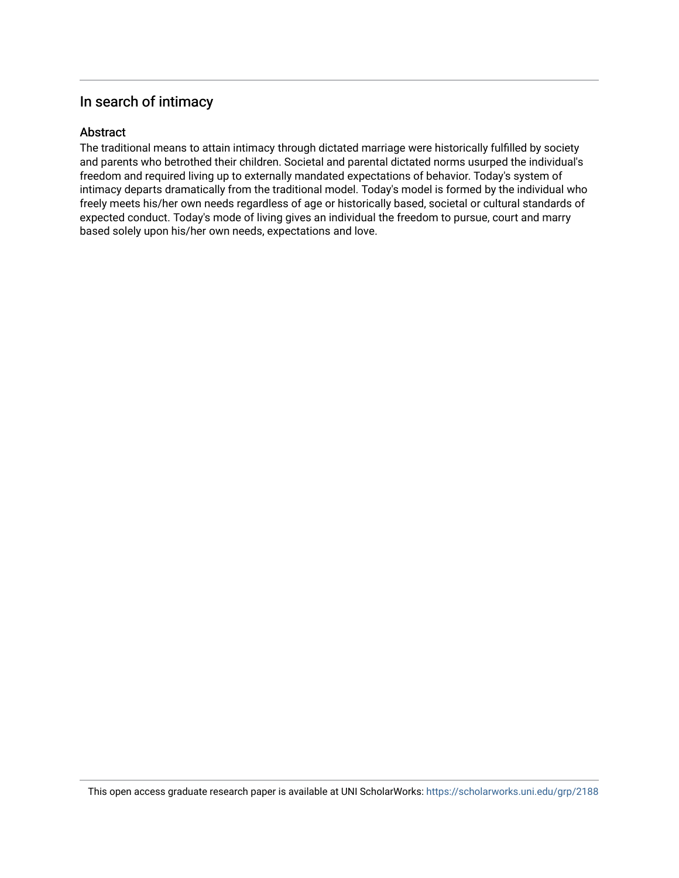# In search of intimacy

## Abstract

The traditional means to attain intimacy through dictated marriage were historically fulfilled by society and parents who betrothed their children. Societal and parental dictated norms usurped the individual's freedom and required living up to externally mandated expectations of behavior. Today's system of intimacy departs dramatically from the traditional model. Today's model is formed by the individual who freely meets his/her own needs regardless of age or historically based, societal or cultural standards of expected conduct. Today's mode of living gives an individual the freedom to pursue, court and marry based solely upon his/her own needs, expectations and love.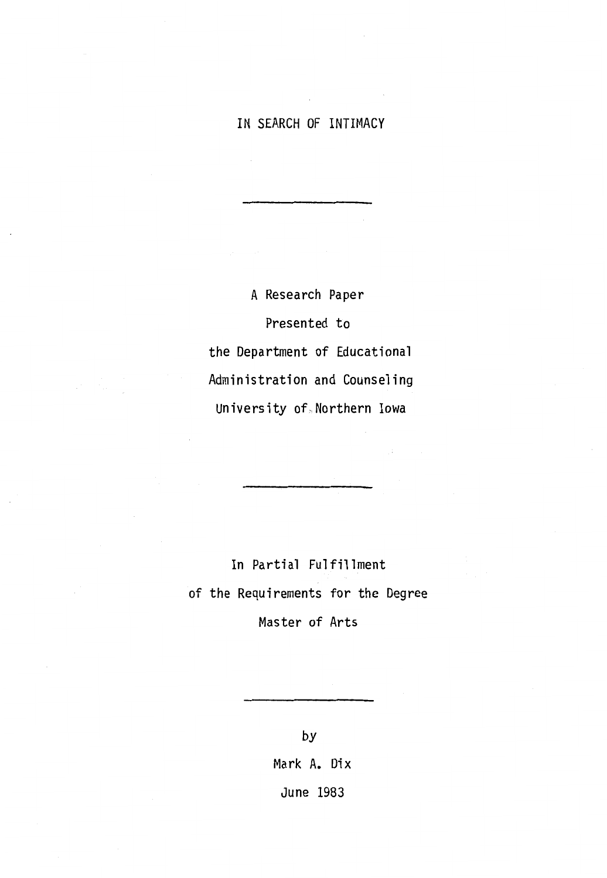# IN SEARCH OF INTIMACY

A Research Paper Presented to the Department of Educational Administration and Counseling University of, Northern Iowa

In Partial Fulfillment of the Requirements for the Degree Master of Arts

by

Mark A. Dix June 1983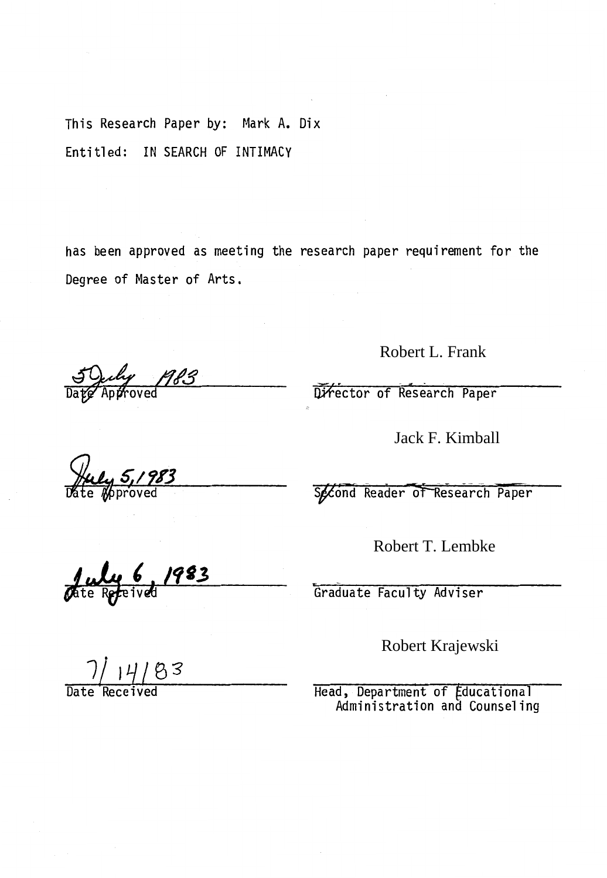This Research Paper by: Mark A. Dix Entitled: IN SEARCH OF INTIMACY

has been approved as meeting the research paper requirement for the Degree of Master of Arts.

<u>1983</u>  $\overline{\text{oved}}$ 

Robert L. Frank

Director of Research Paper

Jack F. Kimball

Second Reader of Research Paper

Robert T. Lembke

Graduate Faculty Adviser

Robert Krajewski

Head, Department of Educational Administration and Counseling

te Receiv

 $14/83$ 

Date Received

**fuly 5, 1983**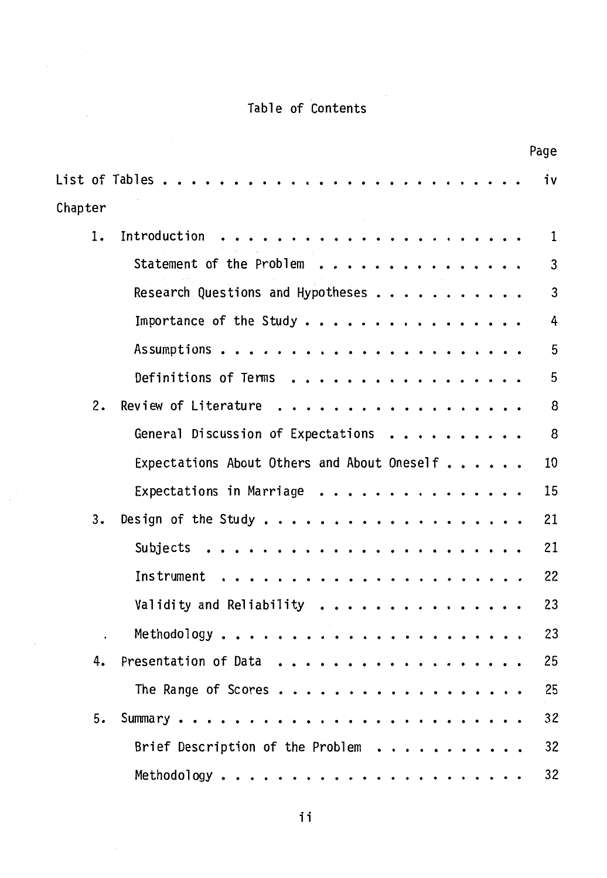# Table of Contents

|         | Page                                                                                                                                                            |
|---------|-----------------------------------------------------------------------------------------------------------------------------------------------------------------|
|         | List of Tables $\ldots$ .<br>iν                                                                                                                                 |
| Chapter |                                                                                                                                                                 |
| 1.      | Introduction<br>$\mathbf{1}$<br>.                                                                                                                               |
|         | Statement of the Problem<br>3                                                                                                                                   |
|         | 3<br>Research Questions and Hypotheses                                                                                                                          |
|         | Importance of the Study $\ldots$<br>4<br>$\bullet$                                                                                                              |
|         | 5<br>Assumptions<br>.<br>$\bullet$                                                                                                                              |
|         | 5<br>Definitions of Terms<br>.<br>$\bullet$                                                                                                                     |
| 2.      | Review of Literature.<br>8<br>.                                                                                                                                 |
|         | General Discussion of Expectations<br>8                                                                                                                         |
|         | Expectations About Others and About Oneself<br>10                                                                                                               |
|         | 15<br>Expectations in Marriage $\dots \dots \dots$                                                                                                              |
| 3.      | 21<br>Design of the Study<br>$\bullet$                                                                                                                          |
|         | 21<br>Subjects<br>$\bullet$<br>$\bullet$<br>$\bullet$<br>$\bullet$<br>.<br>$\bullet$                                                                            |
|         | 22<br><b>Instrument</b><br>$\ddot{\phantom{a}}$<br>$\bullet$<br>$\ddot{\phantom{0}}$<br>$\bullet$<br>$\cdots$<br>$\bullet$<br>$\bullet$<br>$\cdot$<br>$\bullet$ |
|         | 23<br>Validity and Reliability<br>$\bullet$<br>$\bullet$                                                                                                        |
|         | 23<br>Methodology<br>$\bullet$<br>$\bullet$<br>$\bullet$                                                                                                        |
| 4.      | 25<br>Presentation of Data                                                                                                                                      |
|         | 25<br>The Range of Scores                                                                                                                                       |
| 5.      | 32                                                                                                                                                              |
|         | 32<br>Brief Description of the Problem                                                                                                                          |
|         | 32                                                                                                                                                              |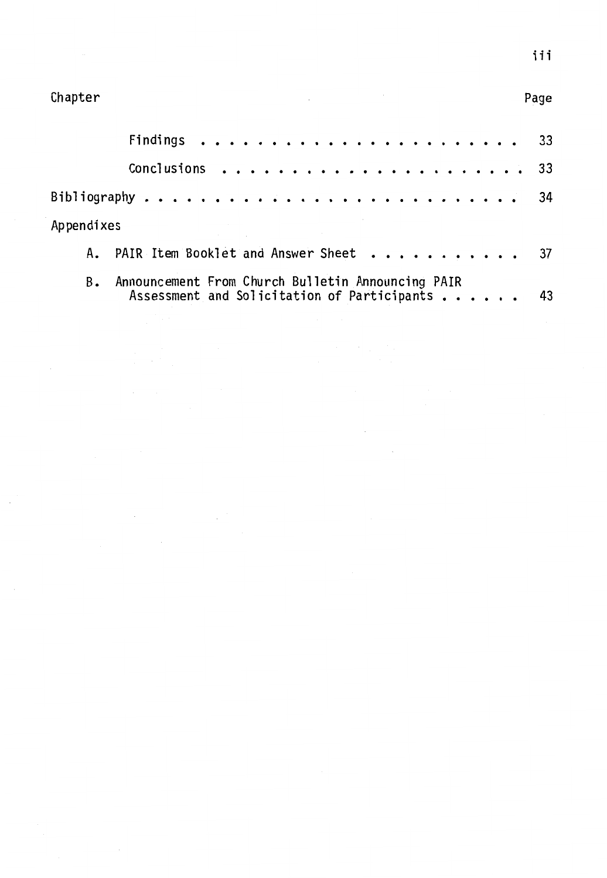| Appendixes |                                                                                                     |  |
|------------|-----------------------------------------------------------------------------------------------------|--|
|            | A. PAIR Item Booklet and Answer Sheet 37                                                            |  |
| B.         | Announcement From Church Bulletin Announcing PAIR<br>Assessment and Solicitation of Participants 43 |  |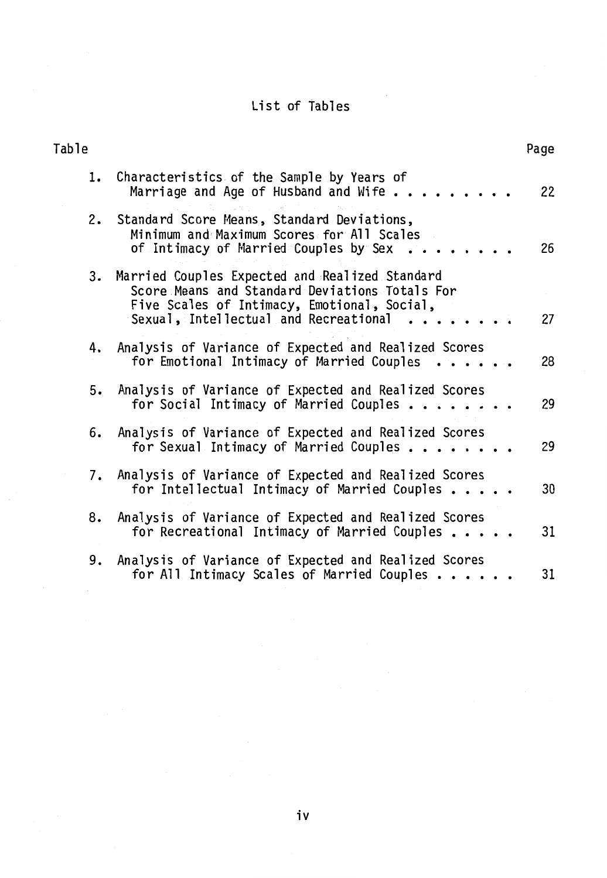# List of Tables

| Table                                                                                                                                                                                                | Page |
|------------------------------------------------------------------------------------------------------------------------------------------------------------------------------------------------------|------|
| Characteristics of the Sample by Years of<br>1.<br>Marriage and Age of Husband and Wife                                                                                                              | 22   |
| Standard Score Means, Standard Deviations,<br>2.<br>Minimum and Maximum Scores for All Scales<br>of Intimacy of Married Couples by Sex                                                               | 26   |
| 3. Married Couples Expected and Realized Standard<br>Score Means and Standard Deviations Totals For<br>Five Scales of Intimacy, Emotional, Social,<br>Sexual, Intellectual and Recreational $\cdots$ | 27   |
| 4. Analysis of Variance of Expected and Realized Scores<br>for Emotional Intimacy of Married Couples                                                                                                 | 28   |
| Analysis of Variance of Expected and Realized Scores<br>5.<br>for Social Intimacy of Married Couples $\ldots \ldots$                                                                                 | 29   |
| Analysis of Variance of Expected and Realized Scores<br>6.<br>for Sexual Intimacy of Married Couples $\dots \dots$                                                                                   | 29   |
| 7. Analysis of Variance of Expected and Realized Scores<br>for Intellectual Intimacy of Married Couples $\dots$ .                                                                                    | 30   |
| Analysis of Variance of Expected and Realized Scores<br>8.<br>for Recreational Intimacy of Married Couples                                                                                           | 31   |
| 9. Analysis of Variance of Expected and Realized Scores<br>for All Intimacy Scales of Married Couples $\dots$                                                                                        | 31   |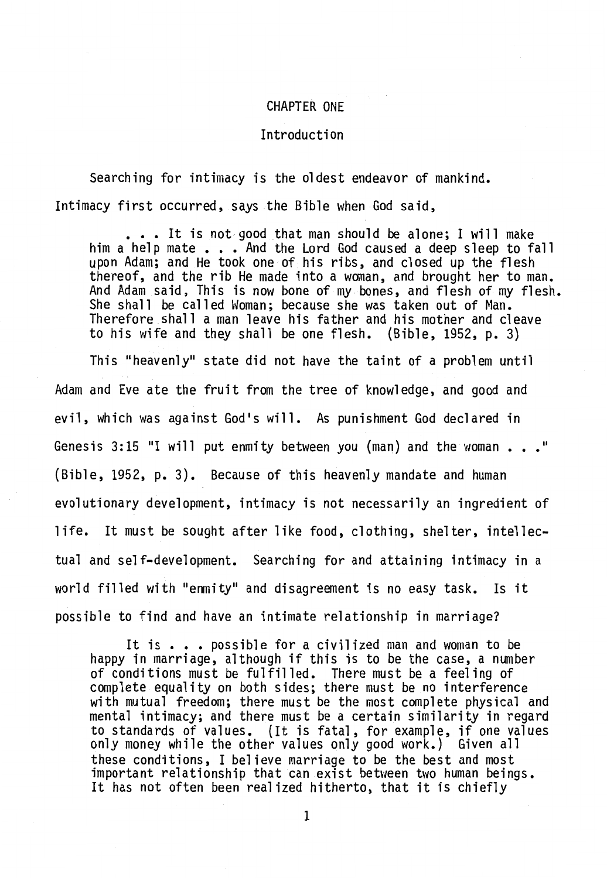#### CHAPTER ONE

#### Introduction

Searching for intimacy is the oldest endeavor of mankind. Intimacy first occurred, says the Bible when God said,

 $\ldots$  . It is not good that man should be alone; I will make him a help mate . . . And the Lord God caused a deep sleep to fall upon Adam; and He took one of his ribs, and closed up the flesh thereof, and the rib He made into a woman, and brought her to man. And Adam said, This is now bone of my bones, and flesh of my flesh. She shall be called Woman; because she was taken out of Man. Therefore shall a man leave his father and his mother and cleave to his wife and they shall be one flesh. (Bible, 1952, p. 3)

This "heavenly" state did not have the taint of a problem until Adam and Eve ate the fruit from the tree of knowledge, and good and evil, which was against God's will. As punishment God declared in Genesis 3: 15 "I will put enmity between you (man) and the woman " (Bible, 1952, p. 3). Because of this heavenly mandate and human evolutionary development, intimacy is not necessarily an ingredient of life. It must be sought after like food, clothing, shelter, intellectual and self-development. Searching for and attaining intimacy in a world filled with "enmity" and disagreement is no easy task. Is it possible to find and have an intimate relationship in marriage?

It is . . . possible for a civilized man and woman to be happy in marriage, although if this is to be the case, a number of conditions must be fulfilled. There must be a feeling of complete equality on both sides; there must be no interference with mutual freedom; there must be the most complete physical and mental intimacy; and there must be a certain similarity in regard to standards of values. (It is fatal, for example, if one values only money while the other values only good work.) Given all these conditions, I believe marriage to be the best and most important relationship that can exist between two human beings. It has not often been realized hitherto, that it is chiefly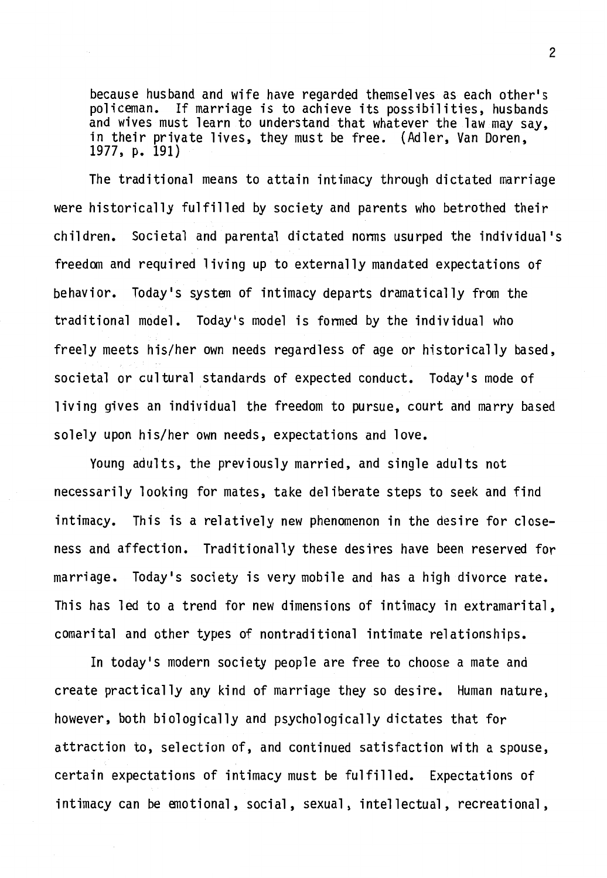because husband and wife have regarded themselves as each other's<br>policeman. If marriage is to achieve its possibilities, husbands If marriage is to achieve its possibilities, husbands and wives must learn to understand that whatever the law may say, in their private lives, they must be free. (Adler, Van Doren, 1977, p. 191)

The traditional means to attain intimacy through dictated marriage were historically fulfilled by society and parents who betrothed their children. Societal and parental dictated norms usurped the individual's freedan and required living up to externally mandated expectations of behavior. Today's system of intimacy departs dramatically from the traditional model. Today's model is formed by the individual who freely meets his/her own needs regardless of age or historically based, societal or cultural standards of expected conduct. Today's mode of living gives an individual the freedom to pursue, court and marry based solely upon his/her own needs, expectations and love.

Young adults, the previously married, and single adults not necessarily looking for mates, take deliberate steps to seek and find intimacy. This is a relatively new phenomenon in the desire for closeness and affection. Traditionally these desires have been reserved for marriage. Today's society is very mobile and has a high divorce rate. This has led to a trend for new dimensions of intimacy in extramarital, comarital and other types of nontraditional intimate relationships.

In today's modern society people are free to choose a mate and create practically any kind of marriage they so desire. Human nature, however, both biologically and psychologically dictates that for attraction to, selection of, and continued satisfaction with a spouse, certain expectations of intimacy must be fulfilled. Expectations of intimacy can be emotional, social, sexual, intellectual, recreational,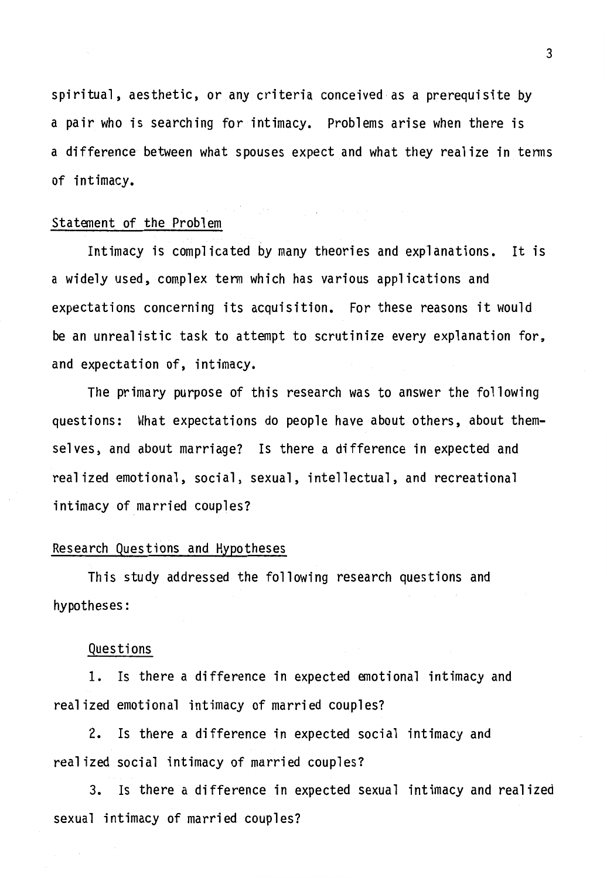spiritual, aesthetic, or any criteria conceived as a prerequisite by a pair who is searching for intimacy. Problems arise when there is a difference between what spouses expect and what they realize in tenns of intimacy.

#### Statement of the Problem

Intimacy is complicated by many theories and explanations. It is a widely used, complex tenn which has various applications and expectations concerning its acquisition. For these reasons it would be an unrealistic task to attempt to scrutinize every explanation for, and expectation of, intimacy.

The primary purpose of this research was to answer the following questions: What expectations do people have about others, about themselves, and about marriage? Is there a difference in expected and realized emotional, social, sexual, intellectual, and recreational intimacy of married couples?

#### Research Questions and Hypotheses

This study addressed the following research questions and hypotheses:

#### Questions

1. Is there a difference in expected emotional intimacy and realized emotional intimacy of married couples?

2. Is there a difference in expected social intimacy and realized social intimacy of married couples?

3. Is there a difference in expected sexual intimacy and realized sexual intimacy of married couples?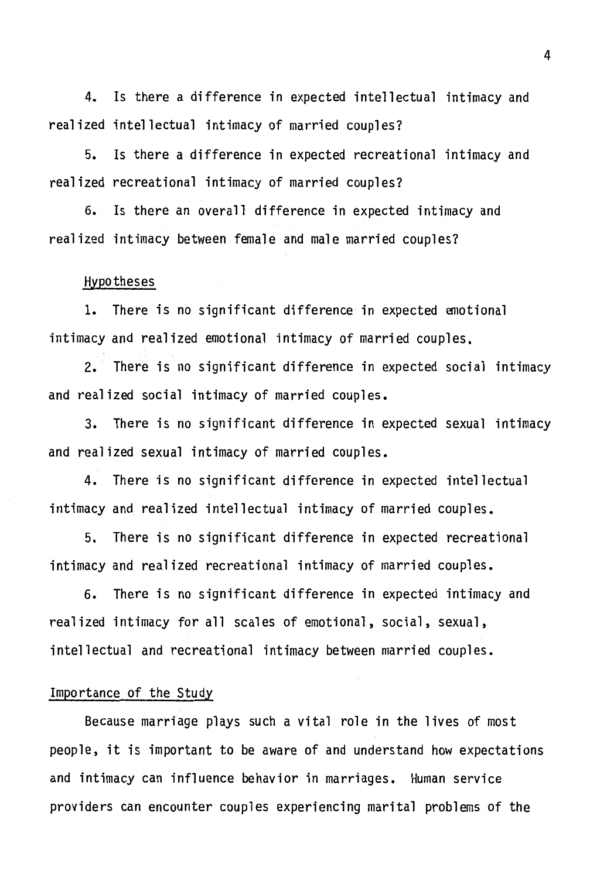4. Is there a difference in expected intellectual intimacy and realized intellectual intimacy of married couples?

5. Is there a difference in expected recreational intimacy and realized recreational intimacy of married couples?

6. Is there an overall difference in expected intimacy and realized intimacy between female and male married couples?

#### Hypotheses

1. There is no significant difference in expected emotional intimacy and realized emotional intimacy of married couples.

2. There is no significant difference in expected social intimacy and realized social intimacy of married couples.

3. There is no significant difference in expected sexual intimacy and realized sexual intimacy of married couples.

4. There is no significant difference in expected intellectual intimacy and realized intellectual intimacy of married couples.

5. There is no significant difference in expected recreational intimacy and realized recreational intimacy of married couples.

6. There is no significant difference in expected intimacy and realized intimacy for all scales of emotional, social, sexual, intellectual and recreational intimacy between married couples.

#### Importance of the Study

Because marriage plays such a vital role in the lives of most people, it is important to be aware of and understand how expectations and intimacy can influence behavior in marriages. Human service providers can encounter couples experiencing marital problems of the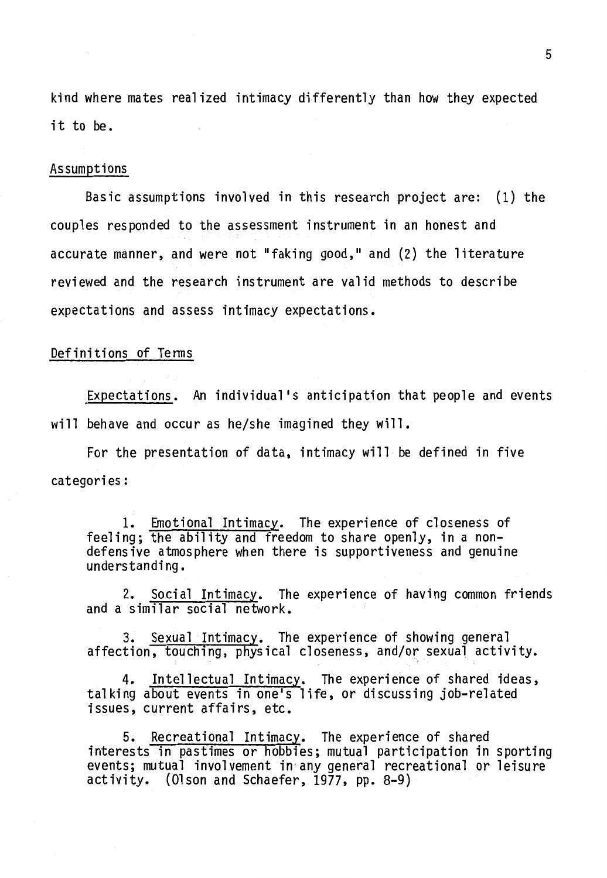kind where mates realized intimacy differently than how they expected it to be.

#### Assumptions

Basic assumptions involved in this research project are: (1) the couples responded to the assessment instrument in an honest and accurate manner, and were not "faking good," and (2) the literature reviewed and the research instrument are valid methods to describe expectations and assess intimacy expectations.

#### Definitions of Tenns

Expectations. An individual's anticipation that people and events will behave and occur as he/she imagined they will.

For the presentation of data, intimacy will be defined in five categories:

1. Emotional Intimacy. The experience of closeness of feeling; the ability and freedom to share openly, in a nondefensive atmosphere when there is supportiveness and genuine understanding.

2. Social Intimacy. The experience of having common friends and a similar social network.

3. Sexual Intimacy. The experience of showing general affection, touching, physical closeness, and/or sexual activity.

4. Intellectual Intimacy. The experience of shared ideas, talking about events in one's life, or discussing job-related issues, current affairs, etc.

5. Recreational Intimacy. The experience of shared interests in pastimes or hobbies; mutual participation in sporting events; mutual involvement in any general recreational or leisure activity. (Olson and Schaefer, 1977, pp. 8-9)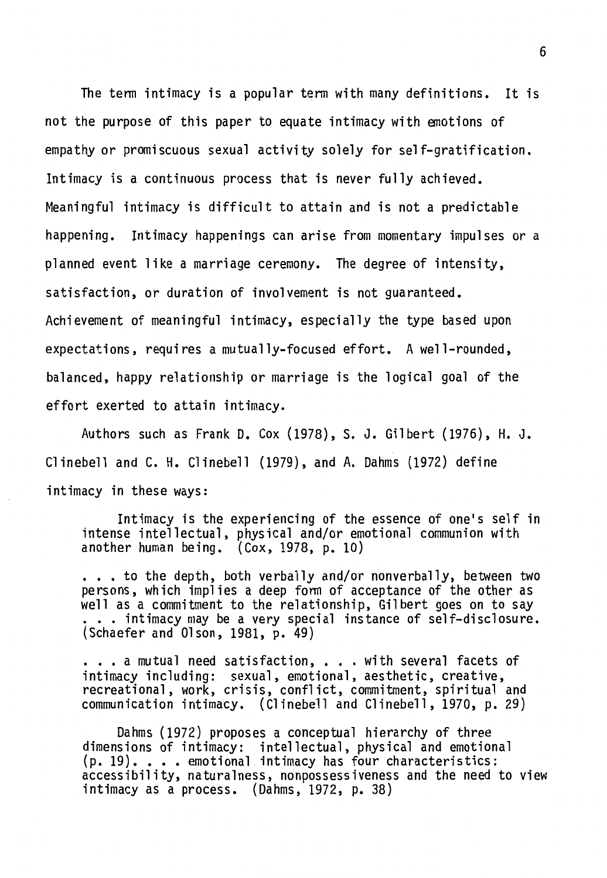The tenn intimacy is a popular term with many definitions. It is not the purpose of this paper to equate intimacy with emotions of empathy or promiscuous sexual activity solely for self-gratification. Intimacy is a continuous process that is never fully achieved. Meaningful intimacy is difficult to attain and is not a predictable happening. Intimacy happenings can arise from momentary impulses or a planned event like a marriage ceremony. The degree of intensity, satisfaction, or duration of involvement is not guaranteed. Achievement of meaningful intimacy, especially the type based upon expectations, requires a mutually-focused effort. A well-rounded, balanced, happy relationship or marriage is the logical goal of the effort exerted to attain intimacy.

Authors such as Frank D. Cox (1978), S. J. Gilbert (1976), H.J. Clinebell and C.H. Clinebell (1979), and A. Dahms (1972) define intimacy in these ways:

Intimacy is the experiencing of the essence of one's self in intense intellectual, physical and/or emotional communion with another human being. (Cox, 1978, p. 10)

... to the depth, both verbally and/or nonverbally, between two persons, which implies a deep fonn of acceptance of the other as well as a commitment to the relationship, Gilbert goes on to say ... intimacy may be a very special instance of self-disclosure. (Schaefer and Olson, 1981, p. 49)

... a mutual need satisfaction, ... with several facets of intimacy including: sexual, emotional, aesthetic, creative, recreational, work, crisis, conflict, commitment, spiritual and communication intimacy. (Clinebell and Clinebell, 1970, p. 29)

Dahms (1972) proposes a conceptual hierarchy of three dimensions of intimacy: intellectual, physical and emotional  $(p. 19)$ . . . . emotional intimacy has four characteristics: accessibility, naturalness, nonpossessiveness and the need to view intimacy as a process. (Dahms, 1972, p. 38)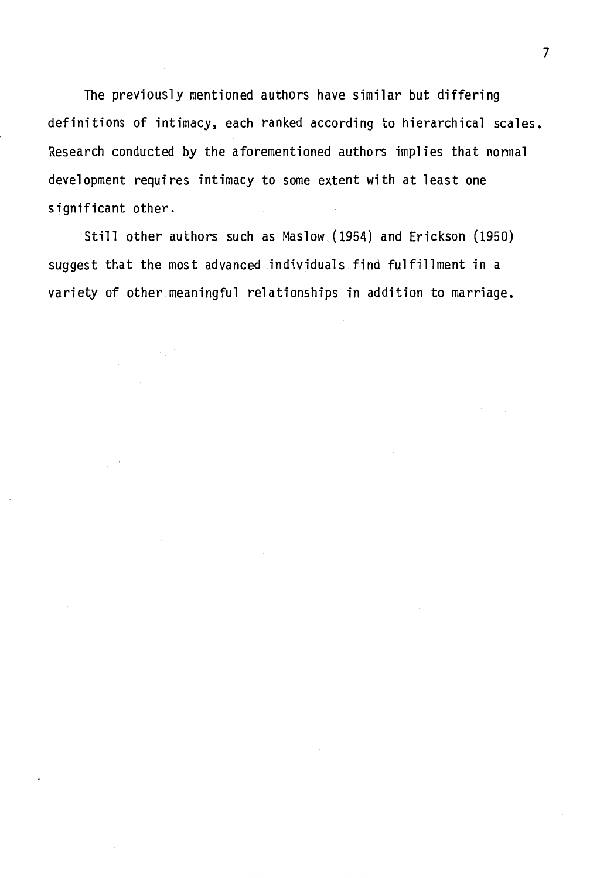The previously mentioned authors have similar but differing definitions of intimacy, each ranked according to hierarchical scales. Research conducted by the aforementioned authors implies that normal development requires intimacy to some extent with at least one significant other.

Still other authors such as Maslow (1954) and Erickson (1950) suggest that the most advanced individuals find fulfillment in a variety of other meaningful relationships in addition to marriage.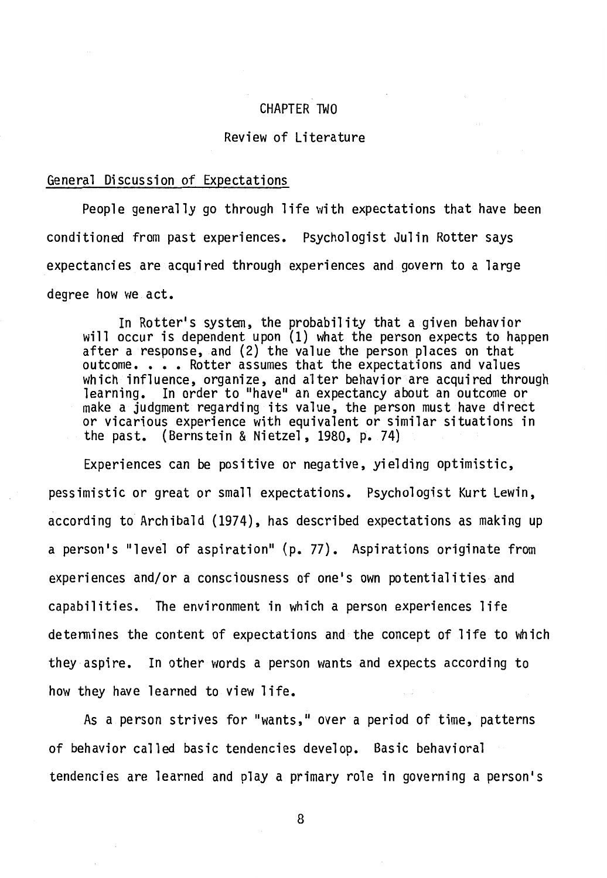#### CHAPTER TWO

#### Review of Literature

#### General Discussion of Expectations

People generally go through life with expectations that have been conditioned from past experiences. Psychologist Julin Rotter says expectancies are acquired through experiences and govern to a large degree how we act.

In Rotter's system, the probability that a given behavior will occur is dependent upon (1) what the person expects to happen after a response, and (2) the value the person places on that outcome. . . . Rotter assumes that the expectations and values which influence, organize, and alter behavior are acquired through<br>learning. In order to "have" an expectancy about an outcome or make a judgment regarding its value, the person must have direct or vicarious experience with equivalent or similar situations in the past. (Bernstein & Nietzel, 1980, p. 74)

Experiences can be positive or negative, yielding optimistic, pessimistic or great or small expectations. Psychologist Kurt Lewin, according to Archibald (1974), has described expectations as making up a person's "level of aspiration" (p. 77). Aspirations originate from experiences and/or a consciousness of one's own potentialities and capabilities. The environment in which a person experiences life detennines the content of expectations and the concept of life to which they aspire. In other words a person wants and expects according to how they have learned to view life.

As a person strives for "wants," over a period of time, patterns of behavior called basic tendencies develop. Basic behavioral tendencies are learned and play a primary role in governing a person's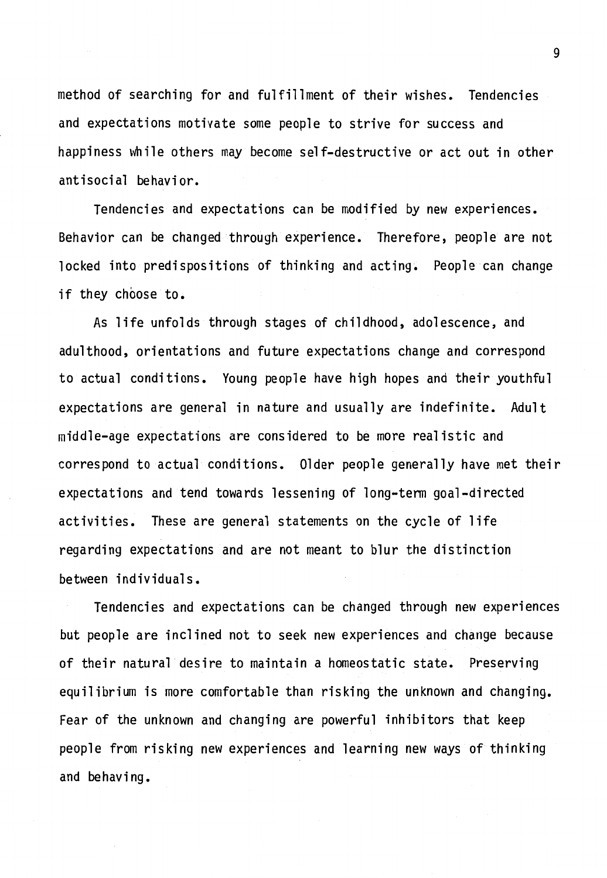method of searching for and fulfillment of their wishes. Tendencies and expectations motivate some people to strive for success and happiness while others may become self-destructive or act out in other antisocial behavior.

Tendencies and expectations can be modified by new experiences. Behavior can be changed through experience. Therefore, people are not locked into predispositions of thinking and acting. People can change if they choose to.

As life unfolds through stages of childhood, adolescence, and adulthood, orientations and future expectations change and correspond to actual conditions. Young people have high hopes and their youthful expectations are general in nature and usually are indefinite. Adult middle-age expectations are considered to be more realistic and correspond to actual conditions. Older people generally have met their expectations and tend towards lessening of long-term goal-directed activities. These are general statements on the cycle of life regarding expectations and are not meant to blur the distinction between individuals.

Tendencies and expectations can be changed through new experiences but people are inclined not to seek new experiences and change because of their natural desire to maintain a homeostatic state. Preserving equilibrium is more comfortable than risking the unknown and changing. Fear of the unknown and changing are powerful inhibitors that keep people from risking new experiences and learning new ways of thinking and behaving.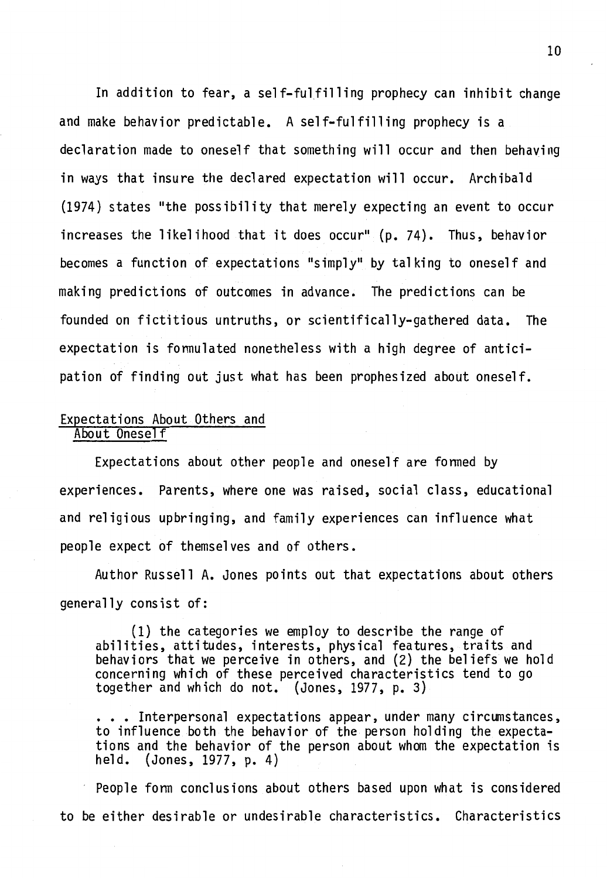In addition to fear, a self-fulfilling prophecy can inhibit change and make behavior predictable. A self-fulfilling prophecy is a declaration made to oneself that something will occur and then behaving in ways that insure the declared expectation will occur. Archibald (1974) states "the possibility that merely expecting an event to occur increases the likelihood that it does occur" {p. 74). Thus, behavior becomes a function of expectations "simply" by talking to oneself and making predictions of outcomes in advance. The predictions can be founded on fictitious untruths, or scientifically-gathered data. The expectation is fonnulated nonetheless with a high degree of anticipation of finding out just what has been prophesized about oneself.

#### Expectations About Others and About Oneself

Expectations about other people and oneself are formed by experiences. Parents, where one was raised, social class, educational and religious upbringing, and family experiences can influence what people expect of themselves and of others.

Author Russell A. Jones points out that expectations about others generally consist of:

(1) the categories we employ to describe the range of abilities, attitudes, interests, physical features, traits and behaviors that we perceive in others, and (2) the beliefs we hold concerning which of these perceived characteristics tend to go together and which do not. (Jones, 1977, p. 3)

... Interpersonal expectations appear, under many circumstances, to influence both the behavior of the person holding the expectations and the behavior of the person about whom the expectation is held. (Jones, 1977, p. 4)  $(Jones, 1977, p. 4)$ 

People fonn conclusions about others based upon what is considered to be either desirable or undesirable characteristics. Characteristics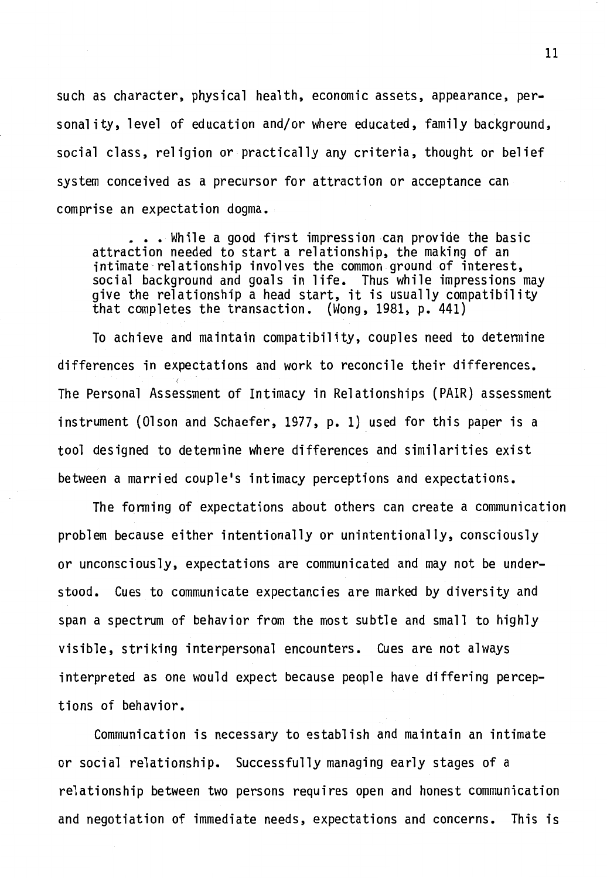such as character, physical health, economic assets, appearance, personality, level of education and/or where educated, family background, social class, religion or practically any criteria, thought or belief system conceived as a precursor for attraction or acceptance can comprise an expectation dogma •

• • • While a good first impression can provide the basic attraction needed to start a relationship, the making of an intimate relationship involves the common ground of interest, social background and goals in life. Thus while impressions may give the relationship a head start, it is usually compatibility<br>that completes the transaction. (Wong, 1981, p. 441)

To achieve and maintain compatibility, couples need to detennine differences in expectations and work to reconcile their differences. *(*  The Personal Assessment of Intimacy in Relationships (PAIR) assessment instrument (Olson and Schaefer, 1977, p. 1) used for this paper is a tool designed to detennine where differences and similarities exist between a married couple's intimacy perceptions and expectations.

The fanning of expectations about others can create a communication problem because either intentionally or unintentionally, consciously or unconsciously, expectations are communicated and may not be understood. Cues to communicate expectancies are marked by diversity and span a spectrum of behavior from the most subtle and small to highly visible, striking interpersonal encounters. Cues are not always interpreted as one would expect because people have differing perceptions of behavior.

Communication is necessary to establish and maintain an intimate or social relationship. Successfully managing early stages of a relationship between two persons requires open and honest communication and negotiation of immediate needs, expectations and concerns. This is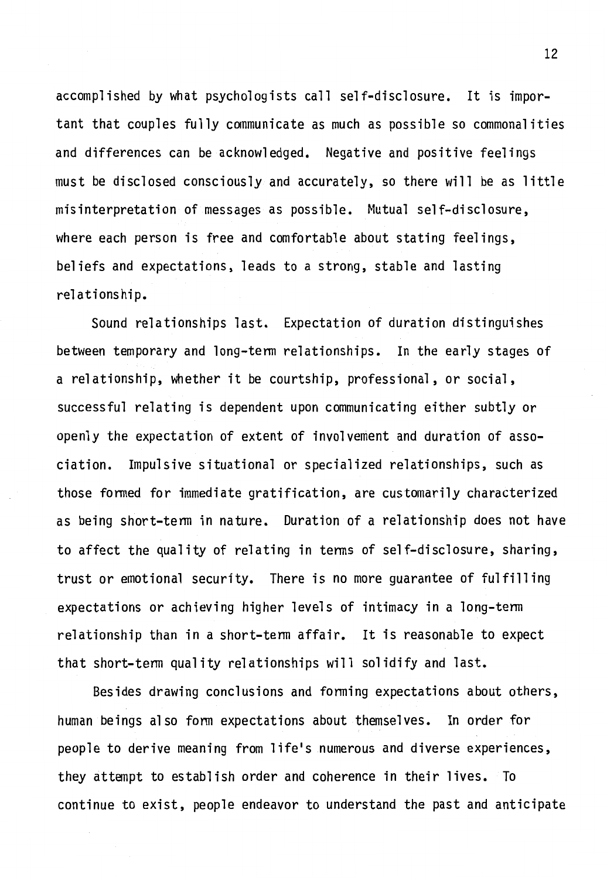accomplished by what psychologists call self-disclosure. It is important that couples fully communicate as much as possible so commonalities and differences can be acknowledged. Negative and positive feelings must be disclosed consciously and accurately, so there will be as little misinterpretation of messages as possible. Mutual self-disclosure, where each person is free and comfortable about stating feelings, beliefs and expectations, leads to a strong, stable and lasting relationship.

Sound relationships last. Expectation of duration distinguishes between temporary and long-tenn relationships. In the early stages of a relationship, whether it be courtship, professional, or social, successful relating is dependent upon communicating either subtly or openly the expectation of extent of involvement and duration of association. Impulsive situational or specialized relationships, such as those fanned for immediate gratification, are customarily characterized as being short-tenn in nature. Duration of a relationship does not have to affect the quality of relating in tenns of self-disclosure, sharing, trust or emotional security. There is no more guarantee of fulfilling expectations or achieving higher levels of intimacy in a long-tenn relationship than in a short-tenn affair. It is reasonable to expect that short-tenn quality relationships will solidify and last.

Besides drawing conclusions and forming expectations about others, human beings also fonn expectations about themselves. In order for people to derive meaning from life's numerous and diverse experiences, they attempt to establish order and coherence in their lives. To continue to exist, people endeavor to understand the past and anticipate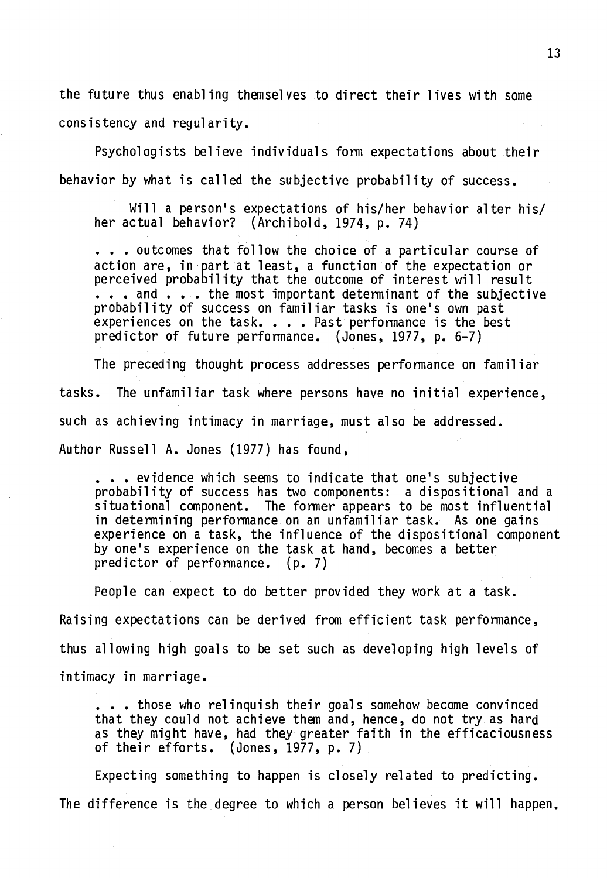the future thus enabling themselves to direct their lives with some consistency and regularity.

Psychologists believe individuals form expectations about their behavior by what is called the subjective probability of success.

Will a person's expectations of his/her behavior alter his/ her actual behavior? (Archibold, 1974, p. 74)

 $\cdots$  outcomes that follow the choice of a particular course of action are, in part at least, a function of the expectation or perceived probability that the outcome of interest will result  $\ldots$  and  $\ldots$  the most important determinant of the subjective probability of success on familiar tasks is one's own past<br>experiences on the task. . . . Past performance is the best predictor of future performance. (Jones, 1977, p. 6-7)

The preceding thought process addresses performance on familiar tasks. The unfamiliar task where persons have no initial experience, such as achieving intimacy in marriage, must also be addressed. Author Russell A. Jones (1977) has found,

••• evidence which seems to indicate that one's subjective probability of success has two components: a dispositional and a situational component. The former appears to be most influential in determining performance on an unfamiliar task. As one gains experience on a task, the influence of the dispositional component by one's experience on the task at hand, becomes a better predictor of performance. (p. 7)

People can expect to do better provided they work at a task. Raising expectations can be derived from efficient task performance, thus allowing high goals to be set such as developing high levels of intimacy in marriage.

• • those who relinquish their goals somehow become convinced that they could not achieve them and, hence, do not try as hard as they might have, had they greater faith in the efficaciousness of their efforts. (Jones, 1977, p. 7)

Expecting something to happen is closely related to predicting. The difference is the degree to which a person believes it will happen.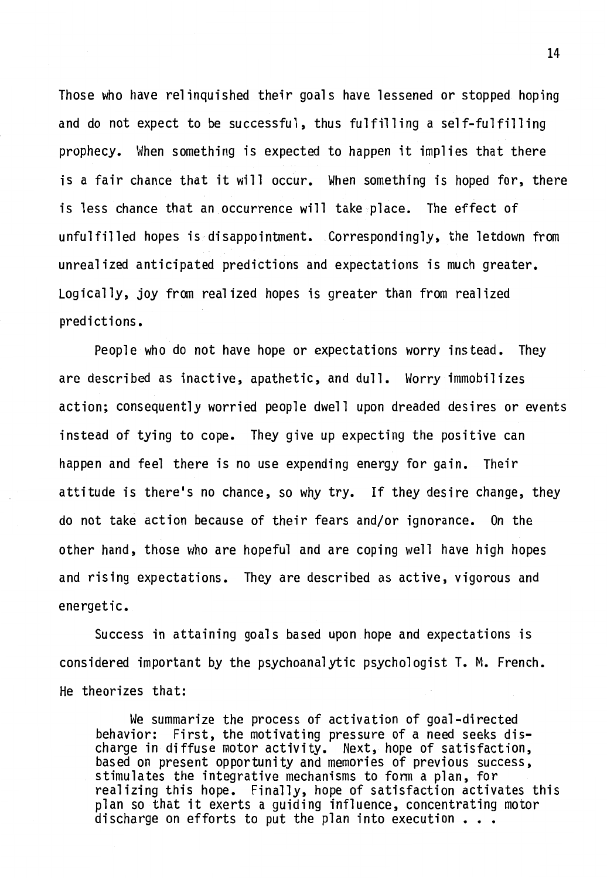Those who have relinquished their goals have lessened or stopped hoping and do not expect to be successful, thus fulfilling a self-fulfilling prophecy. When something is expected to happen it implies that there is a fair chance that it will occur. When something is hoped for, there is less chance that an occurrence will take place. The effect of unfulfilled hopes is disappointment. Correspondingly, the letdown from unrealized anticipated predictions and expectations is much greater. Logically, joy from realized hopes is greater than from realized predictions.

People who do not have hope or expectations worry instead. They are described as inactive, apathetic, and dull. Worry immobilizes action; consequently worried people dwell upon dreaded desires or events instead of tying to cope. They give up expecting the positive can happen and feel there is no use expending energy for gain. Their attitude is there's no chance, so why try. If they desire change, they do not take action because of their fears and/or ignorance. On the other hand, those who are hopeful and are coping well have high hopes and rising expectations. They are described as active, vigorous and energetic.

Success in attaining goals based upon hope and expectations is considered important by the psychoanalytic psychologist T. M. French. He theorizes that:

We summarize the process of activation of goal-directed behavior: First, the motivating pressure of a need seeks discharge in diffuse motor activity. Next, hope of satisfaction, based on present opportunity and memories of previous success, stimulates the integrative mechanisms to form a plan, for realizing this hope. Finally, hope of satisfaction activates this plan so that it exerts a guiding influence, concentrating motor discharge on efforts to put the plan into execution  $\cdots$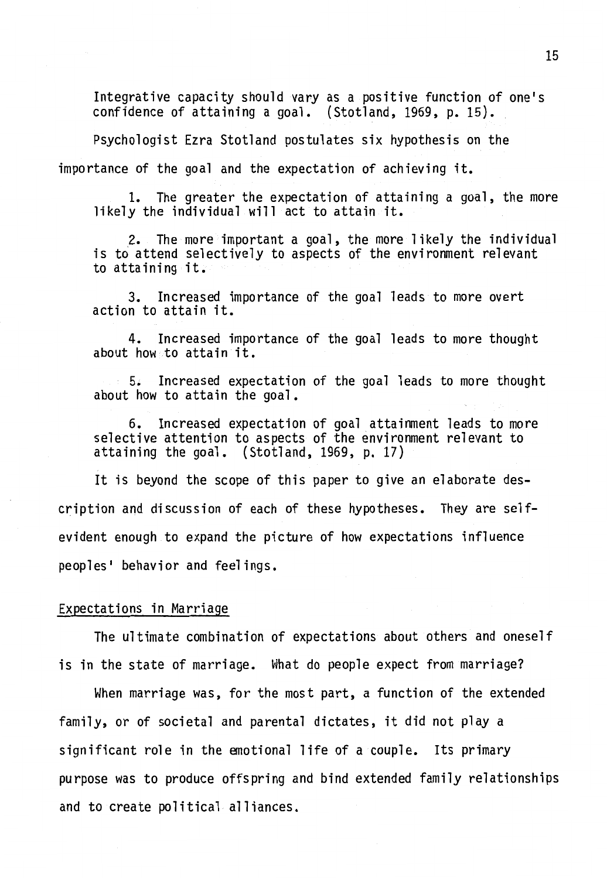Integrative capacity should vary as a positive function of one's confidence of attaining a goal. (Stotland, 1969, p. 15).

Psychologist Ezra Stotland postulates six hypothesis on the

importance of the goal and the expectation of achieving it.

1. The greater the expectation of attaining a goal, the more likely the individual will act to attain it.

. 2. The more important a goal, the more likely the individual is to attend selectively to aspects of the environment relevant to attaining it.

3. Increased importance of the goal leads to more overt action to attain it.

4. Increased importance of the goal leads to more thought about how to attain it.

5. Increased expectation of the goal leads to more thought about how to attain the goal.

6. Increased expectation of goal attainment leads to more selective attention to aspects of the environment relevant to attaining the goal. (Stotland, 1969, p. 17)

It is beyond the scope of this paper to give an elaborate description and discussion of each of these hypotheses. They are selfevident enough to expand the picture of how expectations influence peoples' behavior and feelings.

#### Expectations in Marriage

The ultimate combination of expectations about others and oneself is in the state of marriage. What do people expect from marriage?

When marriage was, for the most part, a function of the extended family, or of societal and parental dictates, it did not play a significant role in the emotional life of a couple. Its primary purpose was to produce offspring and bind extended family relationships and to create political alliances.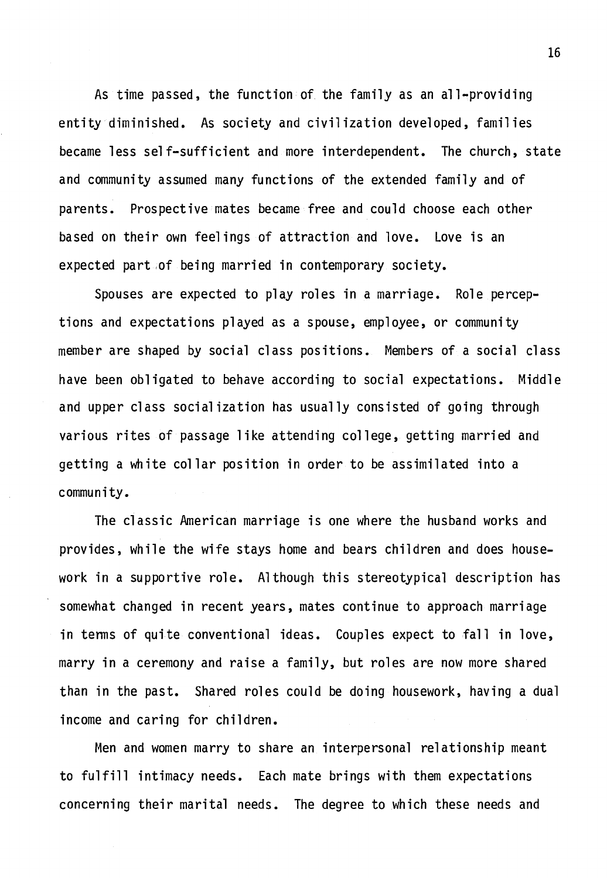As time passed, the function of the family as an all-providing entity diminished. As society and civilization developed, families became less self-sufficient and more interdependent. The church, state and community assumed many functions of the extended family and of parents. Prospective mates became free and could choose each other based on their own feelings of attraction and love. Love is an expected part ,of being married in contemporary society.

Spouses are expected to play roles in a marriage. Role perceptions and expectations played as a spouse, employee, or community member are shaped by social class positions. Members of a social class have been obligated to behave according to social expectations. Middle and upper class socialization has usually consisted of going through various rites of passage like attending college, getting married and getting a white collar position in order to be assimilated into a community.

The classic American marriage is one where the husband works and provides, while the wife stays home and bears children and does housework in a supportive role. Although this stereotypical description has somewhat changed in recent years, mates continue to approach marriage in tenns of quite conventional ideas. Couples expect to fall in love, marry in a ceremony and raise a family, but roles are now more shared than in the past. Shared roles could be doing housework, having a dual income and caring for children.

Men and women marry to share an interpersonal relationship meant to fulfill intimacy needs. Each mate brings with them expectations concerning their marital needs. The degree to which these needs and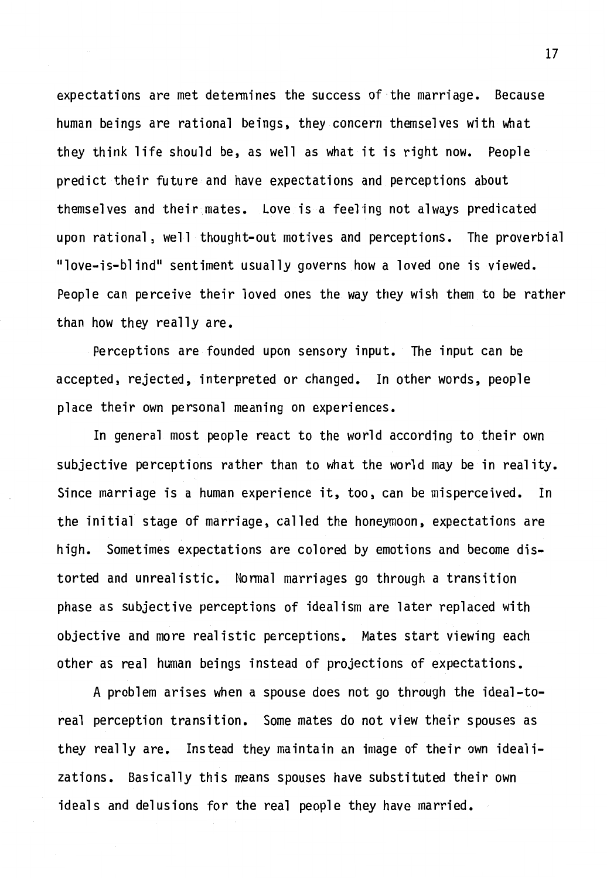expectations are met determines the success of the marriage. Because human beings are rational beings, they concern themselves with what they think life should be, as well as what it is right now. People predict their future and have expectations and perceptions about themselves and their mates. Love is a feeling not always predicated upon rational, well thought-out motives and perceptions. The proverbial "love-is-blind" sentiment usually governs how a loved one is viewed. People can perceive their loved ones the way they wish them to be rather than how they really are.

Perceptions are founded upon sensory input. The input can be accepted, rejected, interpreted or changed. In other words, people place their own personal meaning on experiences.

In general most people react to the world according to their own subjective perceptions rather than to what the world may be in reality. Since marriage is a human experience it, too, can be misperceived. In the initial stage of marriage, called the honeymoon, expectations are high. Sometimes expectations are colored by emotions and become distorted and unrealistic. Nonnal marriages go through a transition phase as subjective perceptions of idealism are later replaced with objective and more realistic perceptions. Mates start viewing each other as real human beings instead of projections of expectations.

A problem arises when a spouse does not go through the ideal-toreal perception transition. Some mates do not view their spouses as they really are. Instead they maintain an image of their own idealizations. Basically this means spouses have substituted their own ideals and delusions for the real people they have married.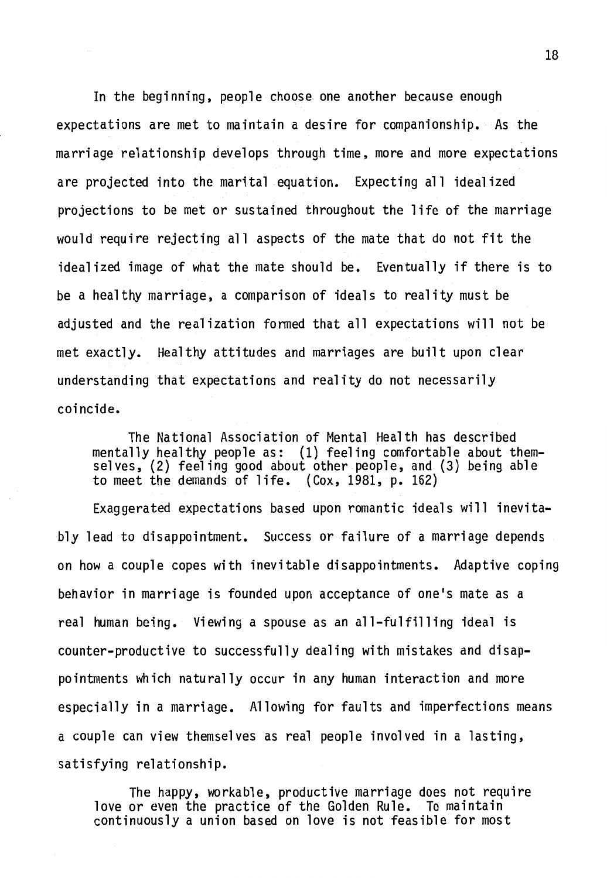In the beginning, people choose one another because enough expectations are met to maintain a desire for companionship. As the marriage relationship develops through time, more and more expectations are projected into the marital equation. Expecting all idealized projections to be met or sustained throughout the life of the marriage would require rejecting all aspects of the mate that do not fit the idealized image of what the mate should be. Eventually if there is to be a healthy marriage, a comparison of ideals to reality must be adjusted and the realization formed that all expectations will not be met exactly. Healthy attitudes and marriages are built upon clear understanding that expectations and reality do not necessarily coincide.

The National Association of Mental Health has described mentally healthy people as: (1) feeling comfortable about themselves, (2) feeling good about other people, and (3) being able to meet the demands of life. {Cox, 1981, p. 162)

Exaggerated expectations based upon romantic ideals will inevitably lead to disappointment. Success or failure of a marriage depends on how a couple copes with inevitable disappointments. Adaptive coping behavior in marriage is founded upon acceptance of one's mate as a real human being. Viewing a spouse as an all-fulfilling ideal is counter-productive to successfully dealing with mistakes and disappointments which naturally occur in any human interaction and more especially in a marriage. Allowing for faults and imperfections means a couple can view themselves as real people involved in a lasting, satisfying relationship.

The happy, workable, productive marriage does not require love or even the practice of the Golden Rule. To maintain continuously a union based on love is not feasible for most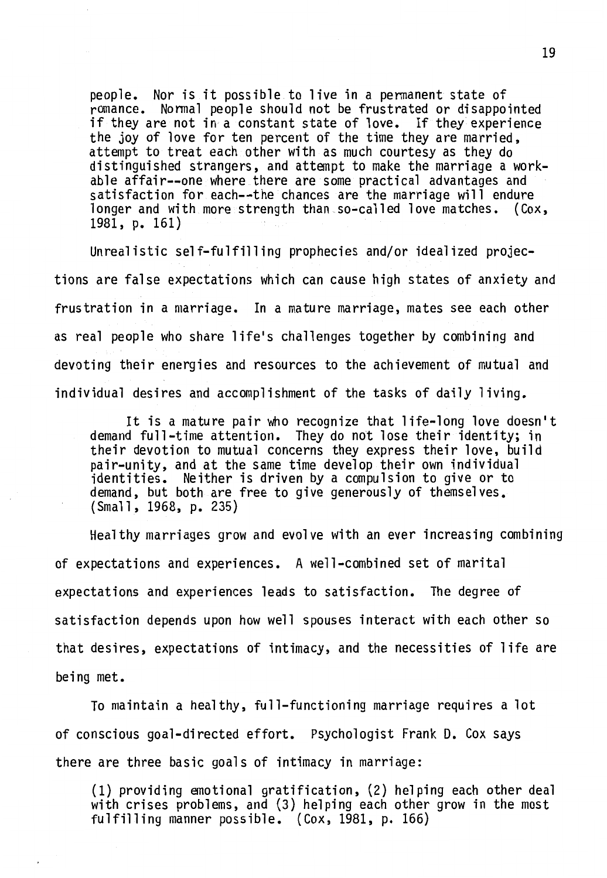people. Nor is it possible to live in a permanent state of if they are not in a constant state of love. If they experience<br>the joy of love for ten percent of the time they are married, attempt to treat each other with as much courtesy as they do distinguished strangers, and attempt to make the marriage a workable affair--one where there are some practical advantages and satisfaction for each--the chances are the marriage will endure longer and with more strength than so-called love matches. (Cox, 1981, p. 161)

Unrealistic self-fulfilling prophecies and/or idealized projections are false expectations which can cause high states of anxiety and frustration in a marriage. In a mature marriage, mates see each other as real people who share life's challenges together by combining and devoting their energies and resources to the achievement of mutual and individual desires and accomplishment of the tasks of daily living.

It is a mature pair who recognize that life-long love doesn't demand full-time attention. They do not lose their identity; in their devotion to mutual concerns they express their love, build pair-unity, and at the same time develop their own individual identities. Neither is driven by a compulsion to give or to demand, but both are free to give generously of themselves. (Small, 1968, p. 235)

Healthy marriages grow and evolve with an ever increasing combining of expectations and experiences. A well-combined set of marital expectations and experiences leads to satisfaction. The degree of satisfaction depends upon how well spouses interact with each other so that desires, expectations of intimacy, and the necessities of life are being met.

To maintain a healthy, full-functioning marriage requires a lot of conscious goal-directed effort. Psychologist Frank D. Cox says there are three basic goals of intimacy in marriage:

(1) providing emotional gratification, (2) helping each other deal with crises problems, and (3) helping each other grow in the most fulfilling manner possible. (Cox, 1981, p. 166)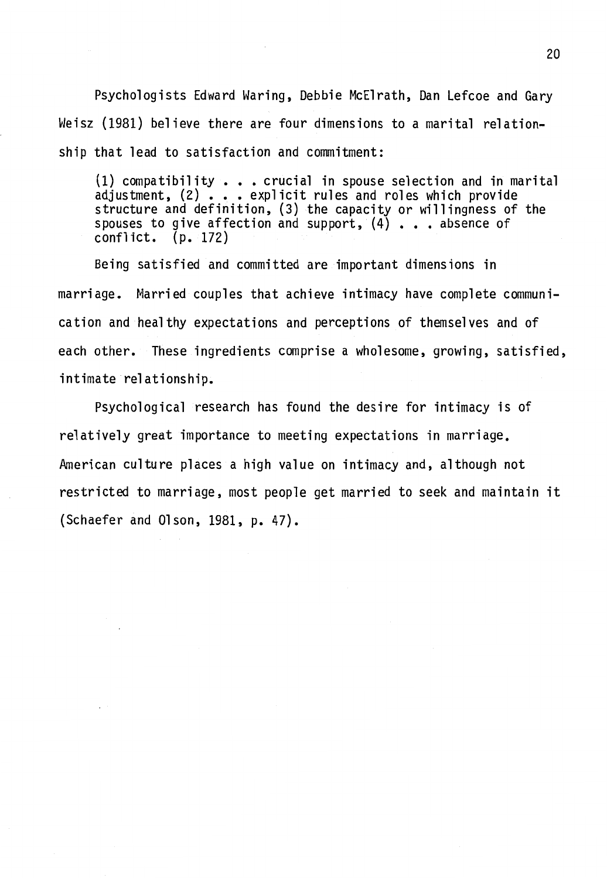Psychologists Edward Waring, Debbie McElrath, Dan Lefcoe and Gary Weisz (1981) believe there are four dimensions to a marital relationship that lead to satisfaction and commitment:

(1) compatibility  $\bullet\bullet\bullet\bullet$  crucial in spouse selection and in marital adjustment, (2) . . . explicit rules and roles which provide structure and definition, (3) the capacity or willingness of the spouses to give affection and support,  $(4)$  . . . absence of conflict. (p. 172)

Being satisfied and committed are important dimensions in marriage. Married couples that achieve intimacy have complete communication and healthy expectations and perceptions of themselves and of each other. These ingredients comprise a wholesome, growing, satisfied, intimate relationship.

Psychological research has found the desire for intimacy is of relatively great importance to meeting expectations in marriage. American culture places a high value on intimacy and, although not restricted to marriage, most people get married to seek and maintain it (Schaefer and Olson, 1981, p. 47).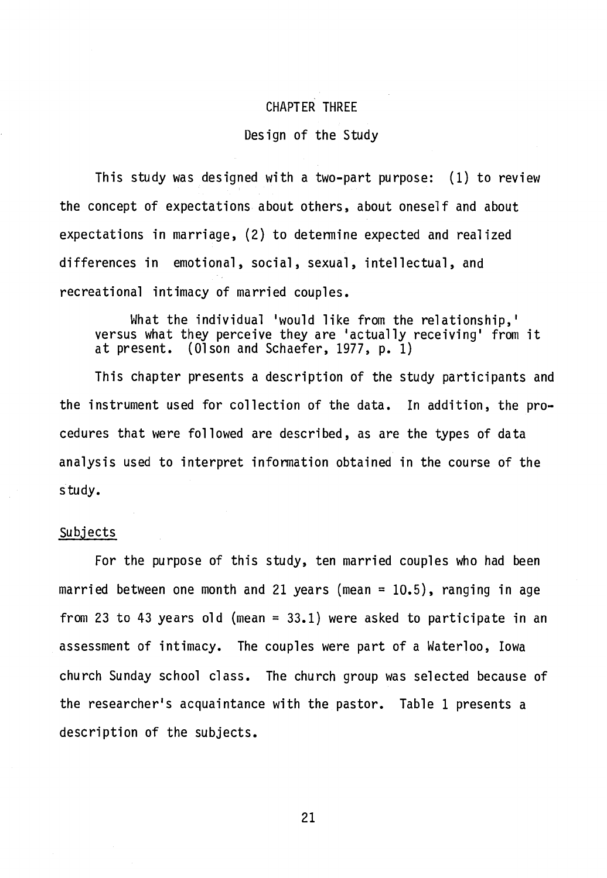#### CHAPTER THREE

#### Design of the Study

This study was designed with a two-part purpose: (1) to review the concept of expectations about others, about oneself and about expectations in marriage, (2) to determine expected and realized differences in emotional, social, sexual, intellectual, and recreational intimacy of married couples.

What the individual 'would like from the relationship,' versus what they perceive they are 'actually receiving' from it at present. (Olson and Schaefer, 1977, p. 1)

This chapter presents a description of the study participants and the instrument used for collection of the data. In addition, the procedures that were followed are described, as are the types of data analysis used to interpret information obtained in the course of the study.

#### subjects

For the purpose of this study, ten married couples who had been married between one month and 21 years (mean =  $10.5$ ), ranging in age from 23 to 43 years old (mean =  $33.1$ ) were asked to participate in an assessment of intimacy. The couples were part of a Waterloo, Iowa church Sunday school class. The church group was selected because of the researcher's acquaintance with the pastor. Table 1 presents a description of the subjects.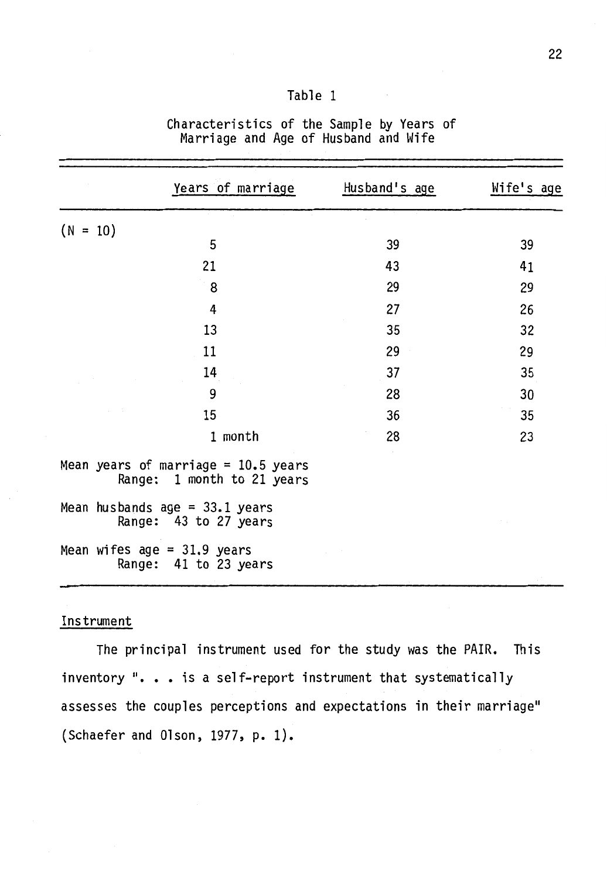| Table |  |  |
|-------|--|--|
|       |  |  |

|            | Years of marriage                                                   | Husband's age | Wife's age |
|------------|---------------------------------------------------------------------|---------------|------------|
| $(N = 10)$ |                                                                     |               |            |
|            | 5                                                                   | 39            | 39         |
|            | 21                                                                  | 43            | 41         |
|            | 8                                                                   | 29            | 29         |
|            | 4                                                                   | 27            | 26         |
|            | 13                                                                  | 35            | 32         |
|            | 11                                                                  | 29            | 29         |
|            | 14                                                                  | 37            | 35         |
|            | 9                                                                   | 28            | 30         |
|            | 15                                                                  | 36            | 35         |
|            | 1 month                                                             | 28            | 23         |
|            | Mean years of marriage = $10.5$ years<br>Range: 1 month to 21 years |               |            |
|            | Mean husbands age = $33.1$ years<br>Range: 43 to 27 years           |               |            |
|            | Mean wifes $age = 31.9$ years<br>Range: 41 to 23 years              |               |            |

Characteristics of the Sample by Years of Marriage and Age of Husband and Wife

## Instrument

The principal instrument used for the study was the PAIR. This inventory ". . . is a self-report instrument that systematically assesses the couples perceptions and expectations in their marriage" (Schaefer and Olson, 1977, p. 1).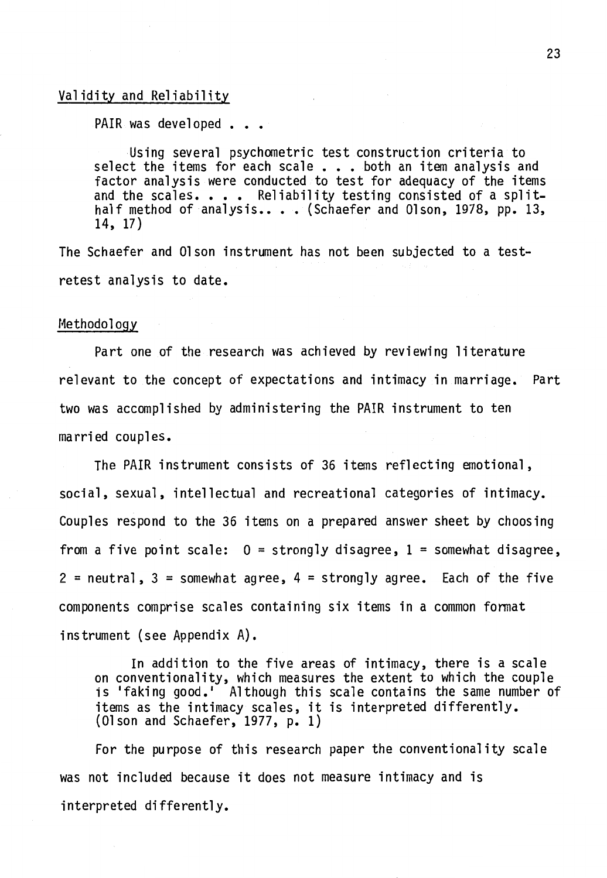#### Validity and Reliability

PAIR was developed . . .

Using several psychometric test construction criteria to select the items for each scale . . . both an item analysis and factor analysis were conducted to test for adequacy of the items and the scales. . . . Reliability testing consisted of a split-<br>half method of analysis.. . . (Schaefer and Olson, 1978, pp. 13, 14, 17)

The Schaefer and Olson instrument has not been subjected to a testretest analysis to date.

#### Methodology

Part one of the research was achieved by reviewing literature relevant to the concept of expectations and intimacy in marriage. Part two was accomplished by administering the PAIR instrument to ten married couples.

The PAIR instrument consists of 36 items reflecting emotional, social, sexual, intellectual and recreational categories of intimacy. Couples respond to the 36 items on a prepared answer sheet by choosing from a five point scale:  $0 =$  strongly disagree,  $1 =$  somewhat disagree,  $2 =$  neutral,  $3 =$  somewhat agree,  $4 =$  strongly agree. Each of the five components comprise scales containing six items in a common format instrument (see Appendix A).

In addition to the five areas of intimacy, there is a scale on conventionality, which measures the extent to which the couple is 'faking good.' Although this scale contains the same number of items as the intimacy scales, it is interpreted differently. (Olson and Schaefer, 1977, p. 1)

For the purpose of this research paper the conventionality scale was not included because it does not measure intimacy and is interpreted differently.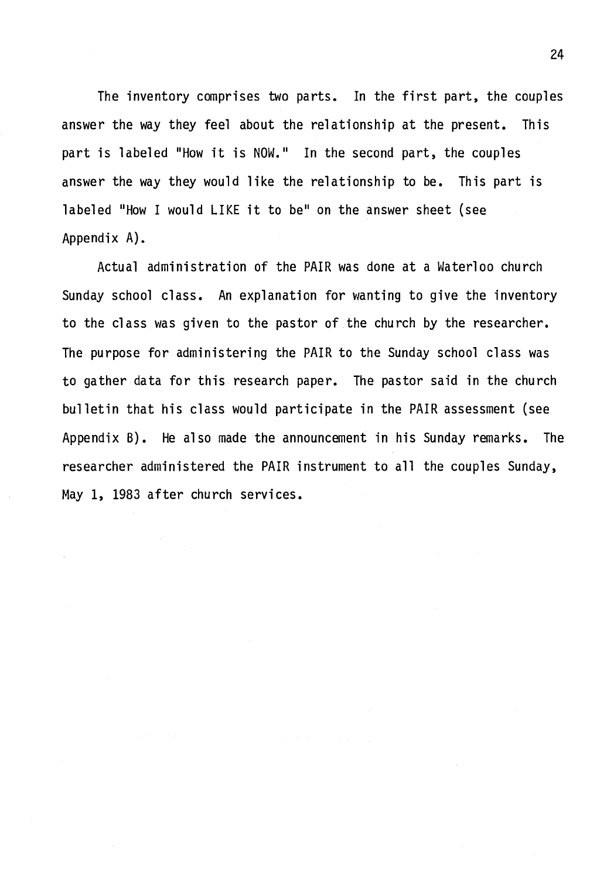The inventory comprises two parts. In the first part, the couples answer the way they feel about the relationship at the present. This part is labeled "How it is NOW." In the second part, the couples answer the way they would like the relationship to be. This part is labeled "How I would LIKE it to be" on the answer sheet (see Appendix A).

Actual administration of the PAIR was done at a Waterloo church Sunday school class. An explanation for wanting to give the inventory to the class was given to the pastor of the church by the researcher. The purpose for administering the PAIR to the Sunday school class was to gather data for this research paper. The pastor said in the church bulletin that his class would participate in the PAIR assessment (see Appendix B). He also made the announcement in his Sunday remarks. The researcher administered the PAIR instrument to all the couples Sunday, May 1, 1983 after church services.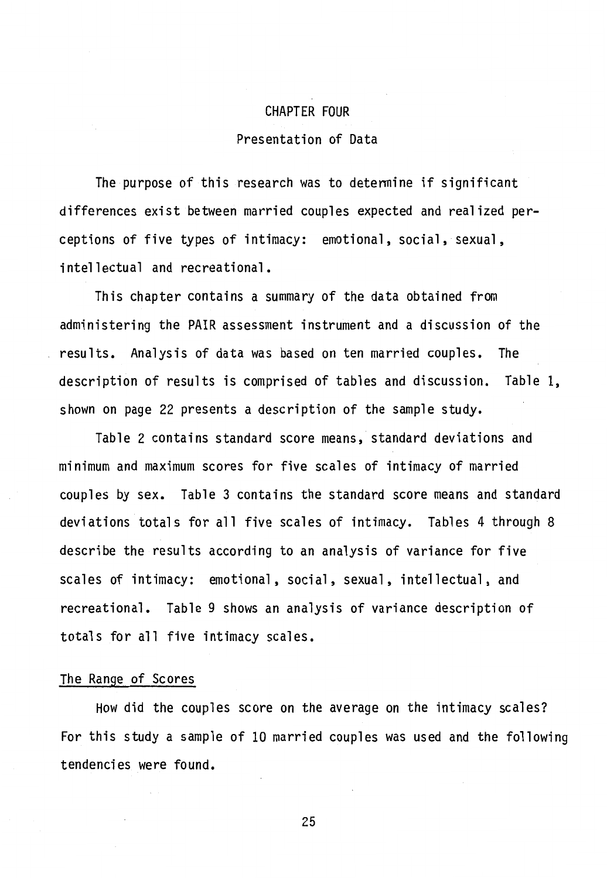# CHAPTER FOUR

### Presentation of Data

The purpose of this research was to detennine if significant differences exist between married couples expected and realized perceptions of five types of intimacy: emotional, social, sexual, intellectual and recreational.

This chapter contains a summary of the data obtained from administering the PAIR assessment instrument and a discussion of the results. Analysis of data was based on ten married couples. The description of results is comprised of tables and discussion. Table 1, shown on page 22 presents a description of the sample study.

Table 2 contains standard score means, standard deviations and minimum and maximum scores for five scales of intimacy of married couples by sex. Table 3 contains the standard score means and standard deviations totals for all five scales of intimacy. Tables 4 through 8 describe the results according to an analysis of variance for five scales of intimacy: emotional, social, sexual, intellectual, and recreational. Table 9 shows an analysis of variance description of totals for all five intimacy scales.

#### The Range of Scores

How did the couples score on the average on the intimacy scales? For this study a sample of 10 married couples was used and the following tendencies were found.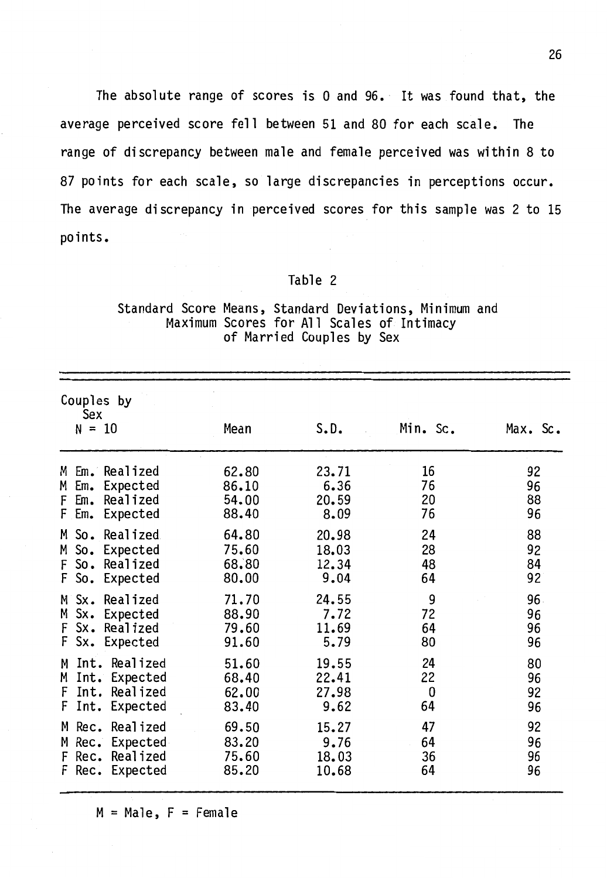The absolute range of scores is 0 and 96. It was found that, the average perceived score fell between 51 and 80 for each scale. The range of discrepancy between male and female perceived was within 8 to 87 points for each scale, so large discrepancies in perceptions occur. The average discrepancy in perceived scores for this sample was 2 to 15 points.

#### Table 2

#### Standard Score Means, Standard Deviations, Minimum and Maximum Scores for All Scales of Intimacy of Married Couples by Sex

| Couples by<br>Sex<br>$N = 10$                                                                                                                                                      | Mean                                                                 | S.D.                                                               | Min. Sc.                                    | Max. Sc.                                     |
|------------------------------------------------------------------------------------------------------------------------------------------------------------------------------------|----------------------------------------------------------------------|--------------------------------------------------------------------|---------------------------------------------|----------------------------------------------|
| Em. Realized<br>М<br>Expected<br>M<br>Em.<br>Realized<br>Em.<br>F<br>F.<br>Expected<br>Em.<br>So.<br>Realized<br>M<br>So.<br>Expected<br>M<br>So. Realized<br>F                    | 62.80<br>86.10<br>54.00<br>88.40<br>64.80<br>75.60<br>68.80          | 23.71<br>6.36<br>20.59<br>8.09<br>20.98<br>18.03<br>12.34          | 16<br>76<br>20<br>76<br>24<br>28<br>48      | 92<br>96<br>88<br>96<br>88<br>92<br>84       |
| So. Expected<br>F.<br>Realized<br>$Sx$ .<br>M<br>Sx. Expected<br>M<br>Sx. Realized<br>F<br>F<br>Sx. Expected                                                                       | 80.00<br>71.70<br>88.90<br>79.60<br>91.60                            | 9.04<br>24.55<br>7.72<br>11.69<br>5.79                             | 64<br>9<br>72<br>64<br>80                   | 92<br>96.<br>96<br>96<br>96                  |
| Int. Realized<br>M<br>Int. Expected<br>M<br>F<br>Int. Realized<br>F<br>Int. Expected<br>Rec. Realized<br>M<br>Rec. Expected<br>M<br>Realized<br>Rec.<br>F<br>F<br>Expected<br>Rec. | 51.60<br>68.40<br>62.00<br>83.40<br>69.50<br>83.20<br>75.60<br>85.20 | 19.55<br>22.41<br>27.98<br>9.62<br>15.27<br>9.76<br>18.03<br>10.68 | 24<br>22<br>0<br>64<br>47<br>64<br>36<br>64 | 80<br>96<br>92<br>96<br>92<br>96<br>96<br>96 |
|                                                                                                                                                                                    |                                                                      |                                                                    |                                             |                                              |

 $M = Male$ ,  $F = Female$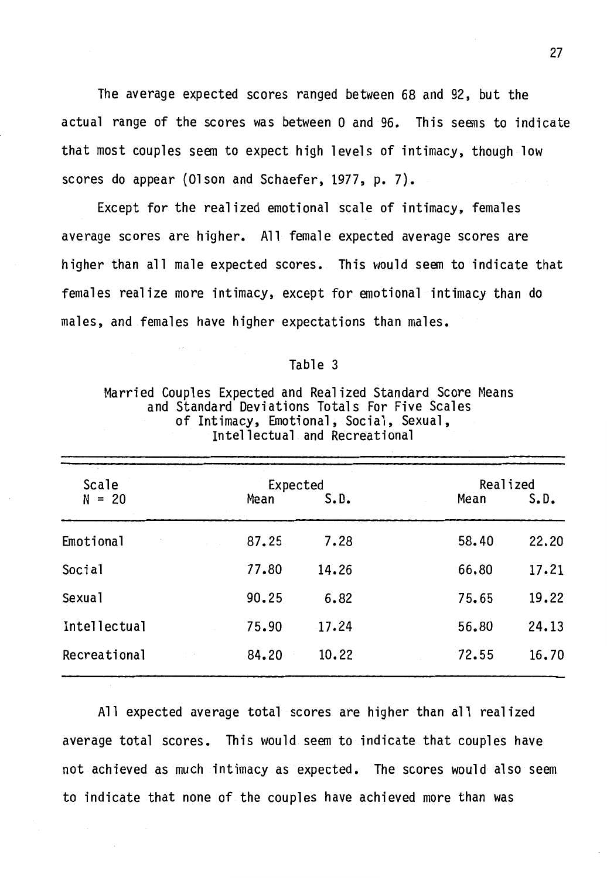The average expected scores ranged between 68 and 92, but the actual range of the scores was between O and 96. This seems to indicate that most couples seem to expect high levels of intimacy, though low scores do appear (Olson and Schaefer, 1977, p. 7).

Except for the realized emotional scale of intimacy, females average scores are higher. All female expected average scores are higher than all male expected scores. This would seem to indicate that females realize more intimacy, except for emotional intimacy than do males, and females have higher expectations than males.

#### Table 3

## Married Couples Expected and Realized Standard Score Means and Standard Deviations Totals For Five Scales of Intimacy, Emotional, Social, Sexual, Intellectual and Recreational

| Scale        | Expected |       | Realized |       |
|--------------|----------|-------|----------|-------|
| $N = 20$     | Mean     | S.D.  | Mean     | S.D.  |
| Emotional    | 87.25    | 7.28  | 58.40    | 22.20 |
| Social       | 77.80    | 14.26 | 66.80    | 17.21 |
| Sexual       | 90.25    | 6.82  | 75.65    | 19.22 |
| Intellectual | 75.90    | 17.24 | 56.80    | 24.13 |
| Recreational | 84.20    | 10.22 | 72.55    | 16.70 |

All expected average total scores are higher than all realized average total scores. This would seem to indicate that couples have not achieved as much intimacy as expected. The scores would also seem to indicate that none of the couples have achieved more than was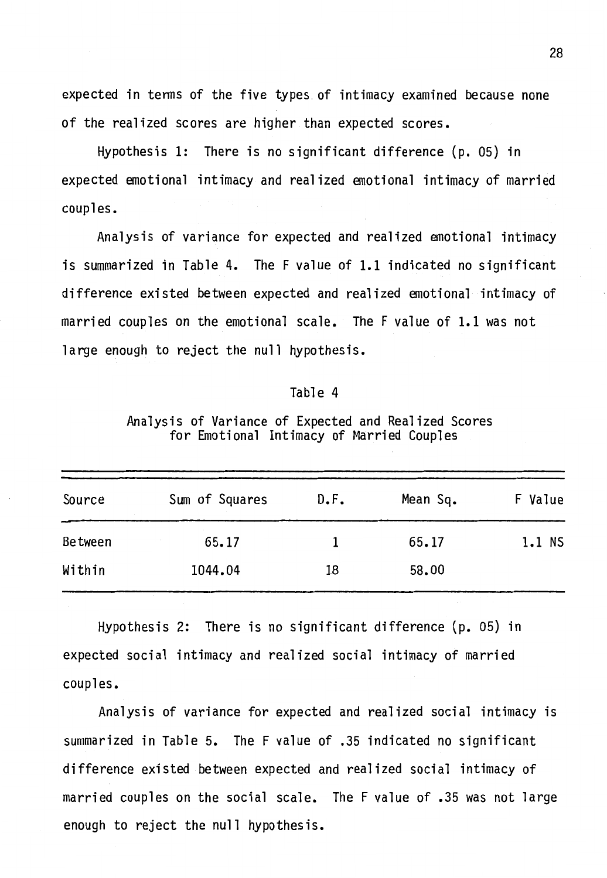expected in tenns of the five types. of intimacy examined because none of the realized scores are higher than expected scores.

Hypothesis 1: There is no significant difference (p. 05) in expected emotional intimacy and realized emotional intimacy of married couples.

Analysis of variance for expected and realized emotional intimacy is summarized in Table 4. The F value of 1.1 indicated no significant difference existed between expected and realized emotional intimacy of married couples on the emotional scale. The F value of 1.1 was not large enough to reject the null hypothesis.

#### Table 4

Analysis of Variance of Expected and Realized Scores for Emotional Intimacy of Married Couples

| Source         | Sum of Squares | D.F. | Mean Sq. | F Value |
|----------------|----------------|------|----------|---------|
| <b>Between</b> | 65.17          |      | 65.17    | 1.1 NS  |
| Within         | 1044.04        | 18   | 58.00    |         |

Hypothesis 2: There is no significant difference (p. 05) in expected social intimacy and realized social intimacy of married couples.

Analysis of variance for expected and realized social intimacy is summarized in Table 5. The F value of .35 indicated no significant difference existed between expected and realized social intimacy of married couples on the social scale. The F value of .35 was not large enough to reject the null hypothesis.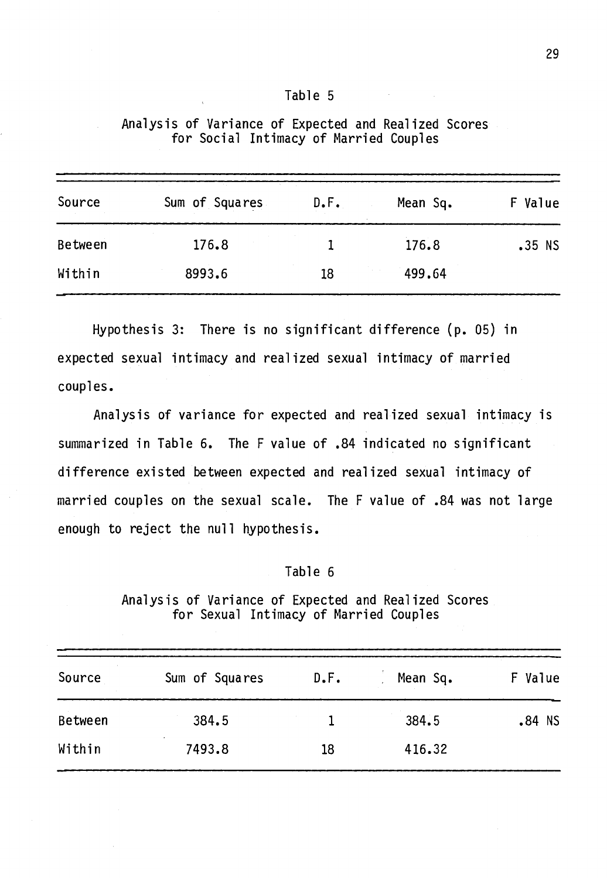| D<br>н |  |  |
|--------|--|--|
|--------|--|--|

| Source  | Sum of Squares | D.F. | Mean Sq. | F Value  |
|---------|----------------|------|----------|----------|
| Between | 176.8          |      | 176.8    | $.35$ NS |
| Within  | 8993.6         | 18   | 499.64   |          |

Analysis of Variance of Expected and Realized Scores for Social Intimacy of Married Couples

Hypothesis 3: There is no significant difference (p. 05) in expected sexual intimacy and realized sexual intimacy of married couples.

Analysis of variance for expected and realized sexual intimacy is summarized in Table 6. The F value of .84 indicated no significant difference existed between expected and realized sexual intimacy of married couples on the sexual scale. The F value of .84 was not large enough to reject the null hypothesis.

#### Table 6

Analysis of Variance of Expected and Realized Scores for Sexual Intimacy of Married Couples

| Source  | Sum of Squares | D.F. | Mean Sq. | F Value  |
|---------|----------------|------|----------|----------|
| Between | 384.5          |      | 384.5    | $.84$ NS |
| Within  | 7493.8         | 18   | 416.32   |          |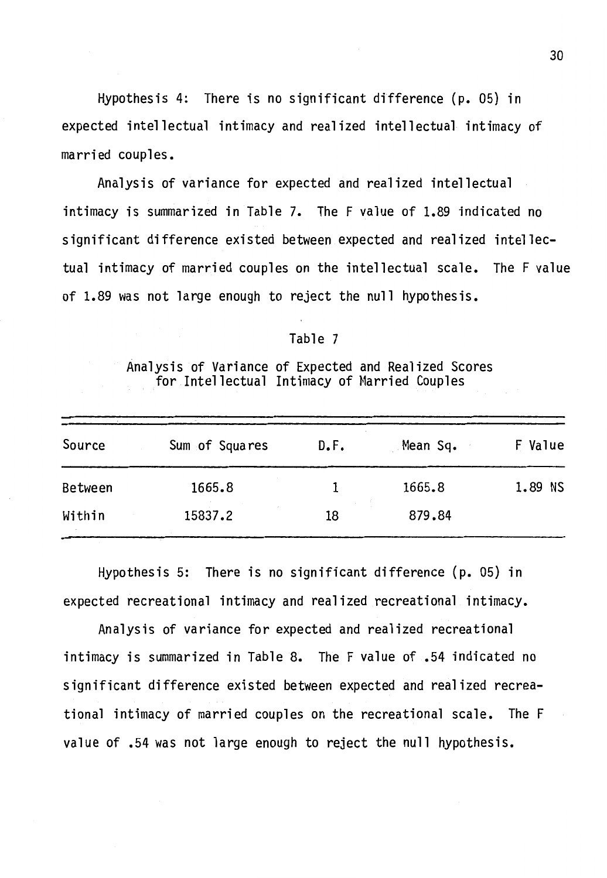Hypothesis 4: There is no significant difference {p. 05) in expected intellectual intimacy and realized intellectual intimacy of married couples.

Analysis of variance for expected and realized intellectual intimacy is summarized in Table 7. The F value of 1.89 indicated no significant difference existed between expected and realized intellectual intimacy of married couples on the intellectual scale. The F value of 1.89 was not large enough to reject the null hypothesis.

#### Table 7

Analysis of Variance of Expected and Realized Scores for Intellectual Intimacy of Married Couples

| Source  | Sum of Squares | D.F. | Mean Sq. | F Value |
|---------|----------------|------|----------|---------|
| Between | 1665.8         |      | 1665.8   | 1.89 NS |
| Within  | 15837.2        | 18   | 879.84   |         |

Hypothesis 5: There is no significant difference {p. 05) in expected recreational intimacy and realized recreational intimacy.

Analysis of variance for expected and realized recreational intimacy is summarized in Table 8. The F value of .54 indicated no significant difference existed between expected and realized recreational intimacy of married couples on the recreational scale. The F value of .54 was not large enough to reject the null hypothesis.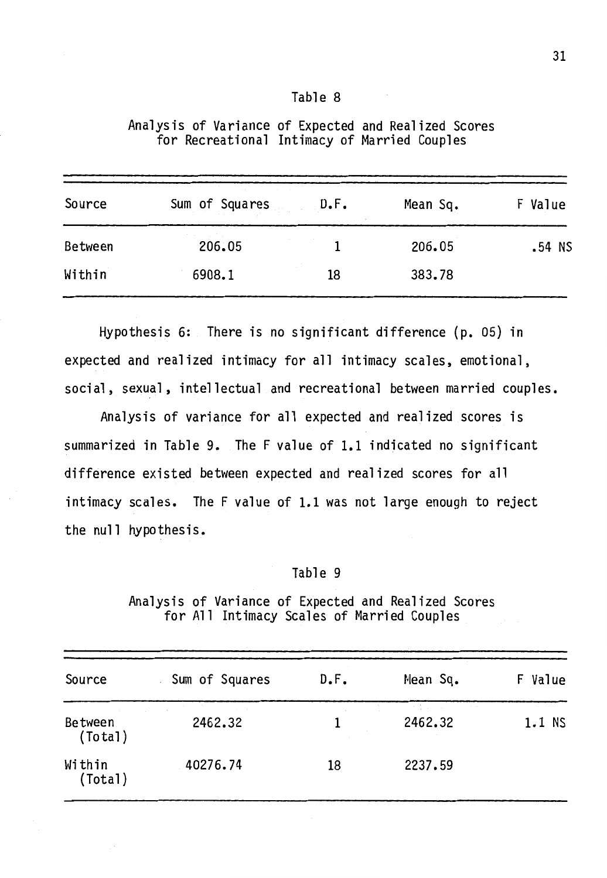| Table |  |  |
|-------|--|--|
|-------|--|--|

| Source  | Sum of Squares | D.F. | Mean Sq. | Value<br>F |
|---------|----------------|------|----------|------------|
| Between | 206.05         |      | 206.05   | $.54$ NS   |
| Within  | 6908.1         | 18   | 383.78   |            |

Analysis of Variance of Expected and Realized Scores for Recreational Intimacy of Married Couples

Hypothesis 6: There is no significant difference (p. 05) in expected and realized intimacy for all intimacy scales, emotional, social, sexual, intellectual and recreational between married couples.

Analysis of variance for all expected and realized scores is summarized in Table 9. The F value of 1.1 indicated no significant difference existed between expected and realized scores for all intimacy scales. The F value of 1.1 was not large enough to reject the null hypothesis.

#### Table 9

Analysis of Variance of Expected and Realized Scores for All Intimacy Scales of Married Couples

| Source                    | Sum of Squares | D.F. | Mean Sq. | F Value |
|---------------------------|----------------|------|----------|---------|
| <b>Between</b><br>(Total) | 2462.32        |      | 2462.32  | 1.1 NS  |
| Within<br>(Total)         | 40276.74       | 18   | 2237.59  |         |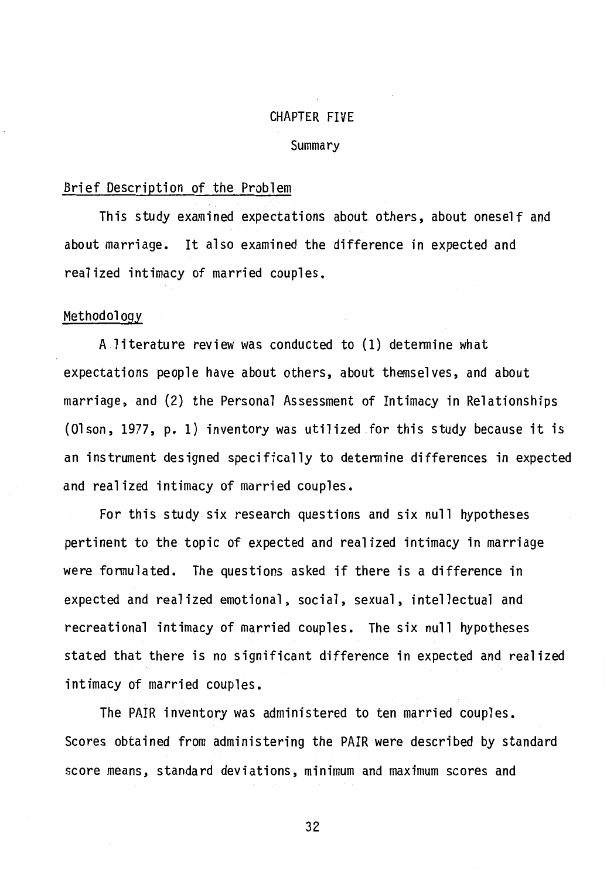#### CHAPTER FIVE

#### **Summary**

#### Brief Description of the Problem

This study examined expectations about others, about oneself and about marriage. It also examined the difference in expected and realized intimacy of married couples.

#### Methodology

A literature review was conducted to (1) determine what expectations people have about others, about themselves, and about marriage, and (2) the Personal Assessment of Intimacy in Relationships (Olson, 1977, p. 1) inventory was utilized for this study because it is an instrument designed specifically to determine differences in expected and realized intimacy of married couples.

For this study six research questions and six null hypotheses pertinent to the topic of expected and realized intimacy in marriage were formulated. The questions asked if there is a difference in expected and realized emotional, social, sexual, intellectual and recreational intimacy of married couples. The six null hypotheses stated that there is no significant difference in expected and realized intimacy of married couples.

The PAIR inventory was administered to ten married couples. Scores obtained from administering the PAIR were described by standard score means, standard deviations, minimum and maximum scores and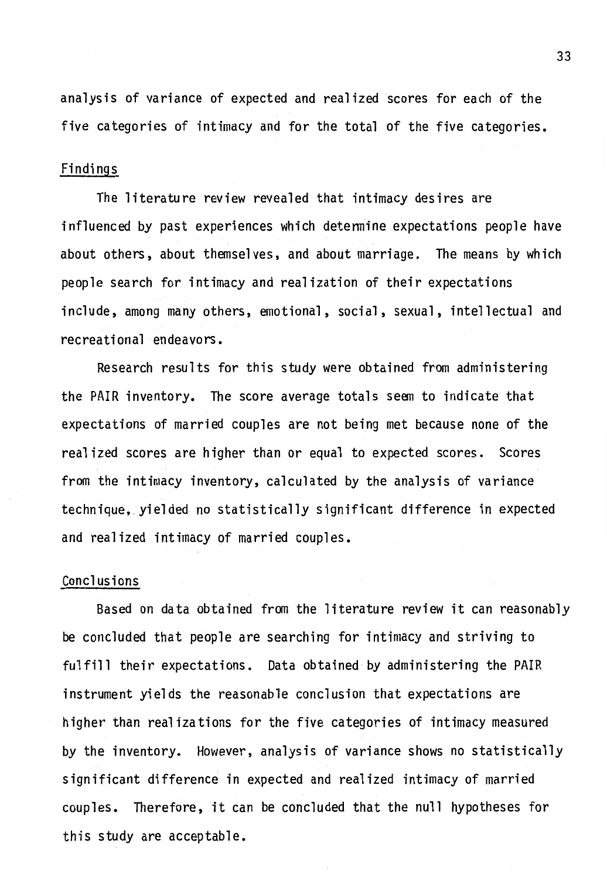analysis of variance of expected and realized scores for each of the five categories of intimacy and for the total of the five categories.

### Findings

The literature review revealed that intimacy desires are influenced by past experiences which detennine expectations people have about others, about themselves, and about marriage. The means by which people search for intimacy and realization of their expectations include, among many others, emotional, social, sexual, intellectual and recreational endeavors.

Research results for this study were obtained from administering the PAIR inventory. The score average totals seem to indicate that expectations of married couples are not being met because none of the realized scores are higher than or equal to expected scores. Scores from the intimacy inventory, calculated by the analysis of variance technique, yielded no statistically significant difference in expected and realized intimacy of married couples.

#### Conclusions

Based on data obtained from the literature review it can reasonably be concluded that people are searching for intimacy and striving to fulfill their expectations. Data obtained by administering the PAIR instrument yields the reasonable conclusion that expectations are higher than realizations for the five categories of intimacy measured by the inventory. However, analysis of variance shows no statistically significant difference in expected and realized intimacy of married couples. Therefore, it can be concluded that the null hypotheses for this study are acceptable.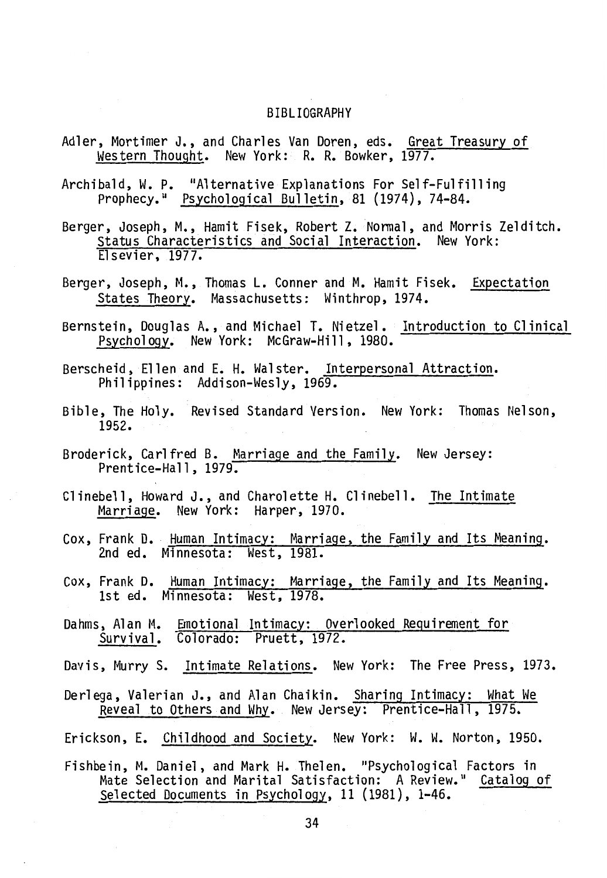#### BIBLIOGRAPHY

- Adler, Mortimer J., and Charles Van Doren, eds. Great Treasury of western Thought. New York: R. R. Bowker, 1977.
- Archibald, W. P. "Alternative Explanations For Self-Fulfilling<br>Prophecy." Psychological Bulletin, 81 (1974), 74-84.
- Berger, Joseph, M., Hamit Fisek, Robert Z. Normal, and Morris Zelditch. status Characteristics and Social Interaction. New York: Elsevier, 1977.
- Berger, Joseph, M., Thomas L. Conner and M. Hamit Fisek. Expectation States Theory. Massachusetts: Winthrop, 1974.
- Bernstein, Douglas A., and Michael T. Nietzel. Introduction to Clinical Psychology. New York: McGraw-Hill, 1980.
- Berscheid, Ellen and E. H. Walster. Interpersonal Attraction. Philippines: Addison-Wesly, 1969.
- Bible, The Holy. Revised Standard Version. New York: Thomas Nelson, 1952.
- Broderick, Carl fred B. Marriage and the Family. New Jersey: Prentice-Hall, 1979.
- Clinebell, Howard J., and Charolette H. Clinebell. The Intimate Marriage. New York: Harper, 1970.
- Cox, Frank D. Human Intimacy: Marriage, the Family and Its Meaning. 2nd ed. Minnesota: West, 1981.
- Cox, Frank D. Human Intimacy: Marriage, the Family and Its Meaning. 1st ed. Minnesota: West, 1978.
- Dahms, Alan M. Emotional Intimacy: Overlooked Requirement for Survival. Colorado: Pruett, 1972.
- Davis, Murry S. Intimate Relations. New York: The Free Press, 1973.
- Derlega, Valerian J., and Alan Chaikin. Sharing Intimacy: What We Reveal to Others and Why. New Jersey: Prentice-Hall, 1975.
- Erickson, E. Childhood and Society. New York: W. W. Norton, 1950.
- Fishbein, M. Daniel, and Mark H. Thelen. "Psychological Factors in Mate Selection and Marital Satisfaction: A Review." Catalog of Selected Documents in Psychology, 11 (1981), 1-46.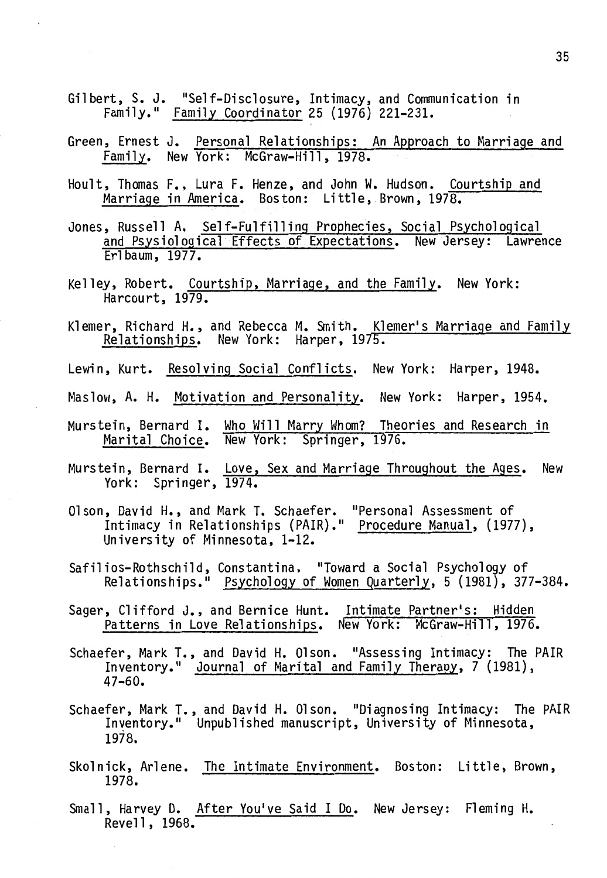- Gilbert, S. J. "Self-Disclosure, Intimacy, and Communication in Family." Family Coordinator 25 (1976) 221-231.
- Green, Ernest J. Personal Relationships: An Approach to Marriage and Family. New York: McGraw-Hill, 1978.
- Hoult, Thomas F., Lura F. Henze, and John W. Hudson. Courtship and Marriage in America. Boston: Little, Brown, 1978.
- Jones, Russell A. Self-Fulfilling Prophecies, Social Psychological and Psysiological Effects of Expectations. New Jersey: Lawrence Erl baum, 1977.
- Kelley, Robert. Courtship, Marriage, and the Family. New York: Harcourt, 1979.
- Klemer, Richard H., and Rebecca M. Smith. Klemer's Marriage and Family<br>Relationships. New York: Harper, 1975.
- Lewin, Kurt. Resolving Social Conflicts. New York: Harper, 1948.
- Maslow, A. H. Motivation and Personality. New York: Harper, 1954.
- Murstein, Bernard I. Who Will Marry Whom? Theories and Research in Marital Choice. New York: Springer, 1976.
- Murstein, Bernard I. Love, Sex and Marriage Throughout the Ages. New York: Springer, 1974.
- 01 son, David H., and Mark T. Schaefer. "Personal Assessment of Intimacy in Relationships (PAIR)." Procedure Manual, (1977), University of Minnesota, 1-12.
- Safilios-Rothschild, Constantina. "Toward a Social Psychology of Relationships." Psychology of Women Quarterly, 5 {1981), 377-384.
- Sager, Clifford J., and Bernice Hunt. Intimate Partner's: Hidden Patterns in Love Relationships. New York: McGraw-Hill, 1976.
- Schaefer, Mark T., and David H. Olson. "Assessing Intimacy: The PAIR Inventory." Journal of Marital and Family Therapy, 7 (1981), 47-60.
- Schaefer, Mark T., and David H. Olson. "Diagnosing Intimacy: The PAIR Inventory." Unpublished manuscript, University of Minnesota, 1978.
- Skolnick, Arlene. The Intimate Environment. Boston: Little, Brown, 1978.
- Small, Harvey D. After You've Said I Do. New Jersey: Fleming H. Revell, 1968.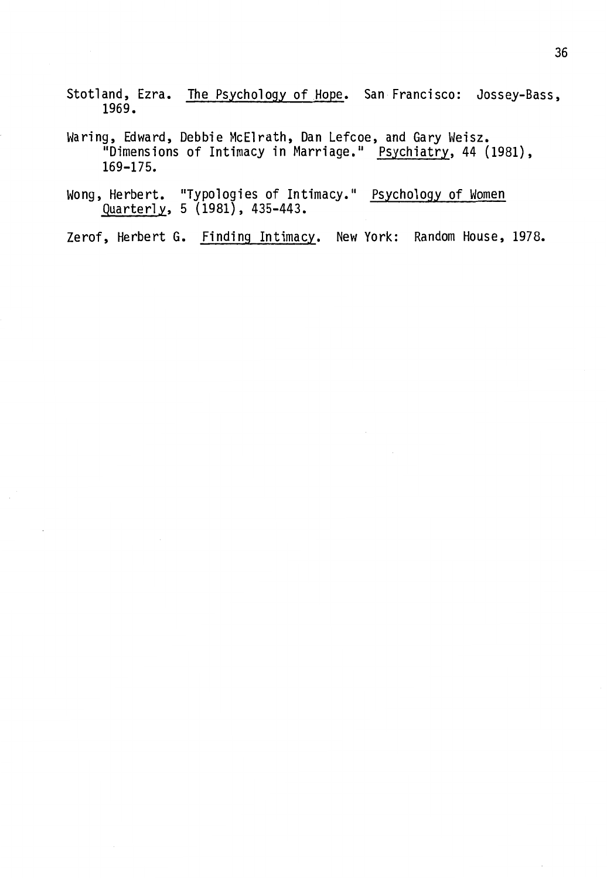- Stotland, Ezra. The Psychology of Hope. San Francisco: Jossey-Bass, 1969.
- Waring, Edward, Debbie McElrath, Dan Lefcoe, and Gary Weisz. "Dimensions of Intimacy in Marriage." Psychiatry, 44 (1981), 169-175.
- Wong, Herbert. "Typologies of Intimacy." Psychology of Women Quarterly, 5 (1981), 435-443.

Zerof, Herbert G. Finding Intimacy. New York: Random House, 1978.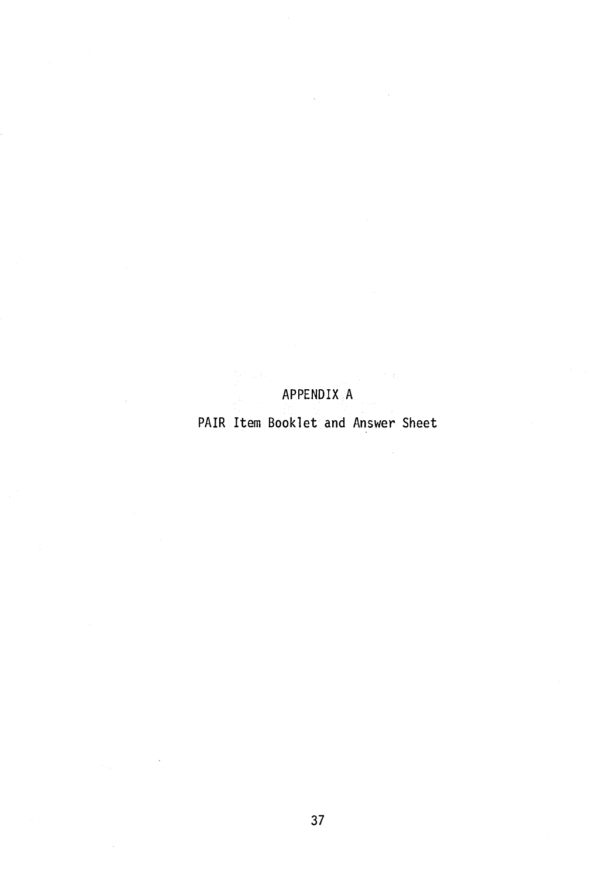# APPENDIX A

J.

PAIR Item Booklet and Answer Sheet

 $\sim$   $\sim$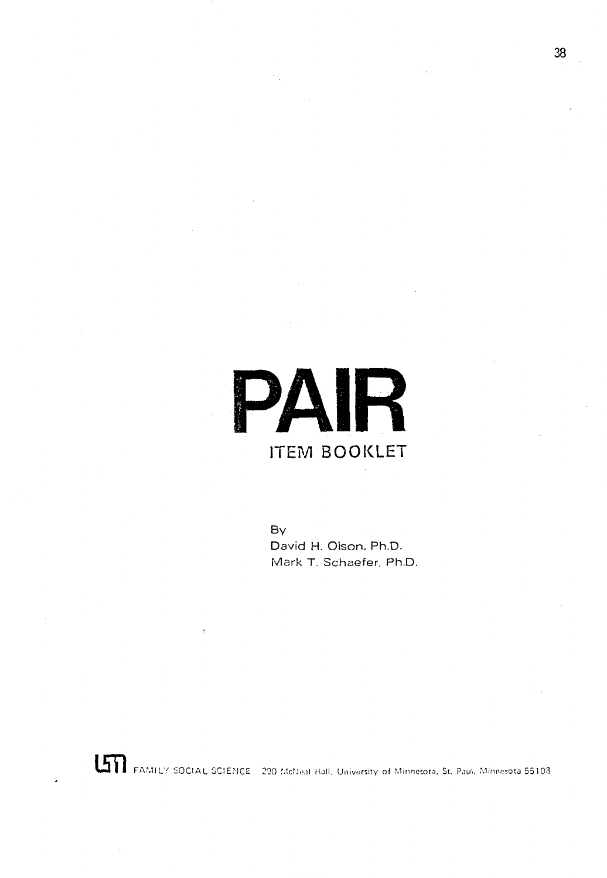

By David H. Olson, Ph.D. Mark T. Schaefer. Ph.D.

**LTT** FAMILY SOCIAL SCIENCE 290 McNeal Hall, University of Minnesota, St. Paul, Minnesota 55108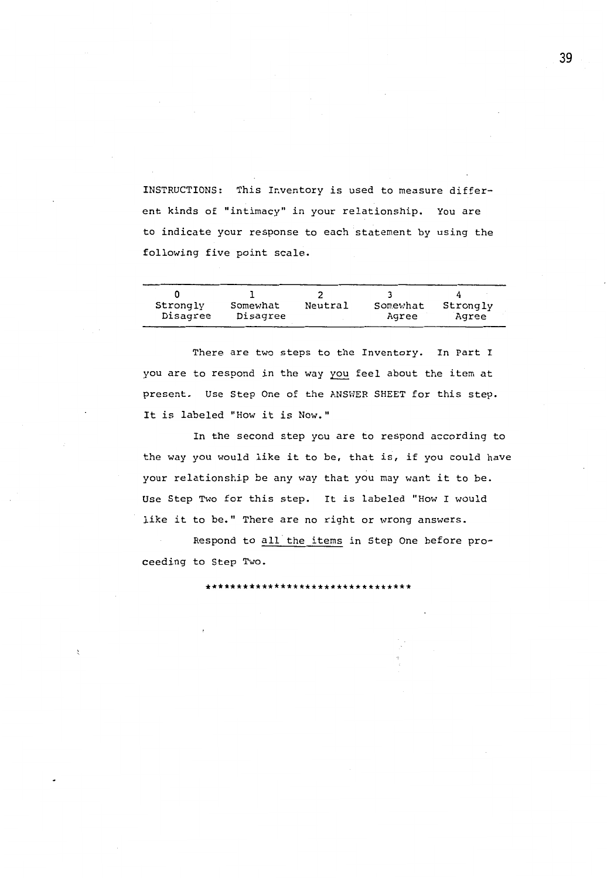INSTRUCTIONS: This Inventory is used to measure different kinds of "intimacy" in your relationship. You are to indicate your response to each statement by using the following five point scale.

| Strongly | Somewhat | Neutral | Somewhat | Strongly |
|----------|----------|---------|----------|----------|
| Disagree | Disagree |         | Agree    | Agree    |

There are two steps to the Inventory. In Part I you are to respond in the way you feel about the item at present. Use Step One of the ANSWER SHEET for this step. It is labeled "How it is Now."

In the second step you are to respond according to the way you would like it to be, that is, if you could have your relationship be any way that you may want it to be. Use Step Two for this step. It is labeled "How I would like it to be." There are no right or wrong answers.

Respond to all the items in Step One before proceeding to Step Two.

\*\*\*\*\*\*\*\*\*\*\*\*\*\*\*\*\*\*\*\*\*\*\*\*\*\*\*\*\*\*\*\*\*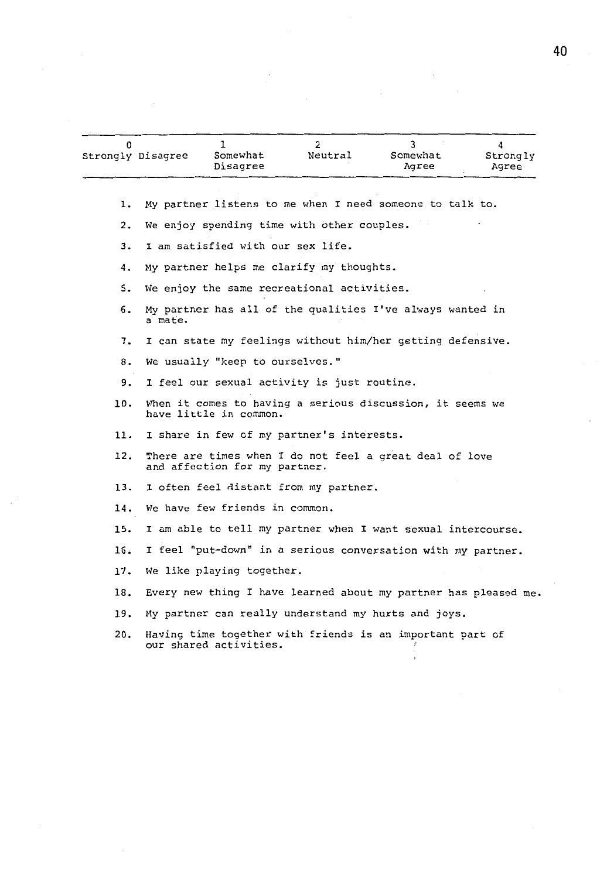| Strongly Disagree | Somewhat<br>Disagree | Neutral | Somewhat<br>Agree | Strongly<br>Agree |
|-------------------|----------------------|---------|-------------------|-------------------|

1. My partner listens to me when I need someone to talk to.

2. We enjoy spending time with other couples.

3. I am satisfied with our sex life.

4. My partner helps me clarify my thoughts.

5. We enjoy the same recreational activities.

6. My partner has all of the qualities I've always wanted in a mate.

7. I can state my feelings without him/her getting defensive.

8. We usually "keep to ourselves."

9. I feel our sexual activity is just routine.

10. When it comes to having a serious discussion, it seems we have little in common.

11. I share in few of my partner's interests.

12. There are times when I do not feel a great deal of love and affection for my partner.

13. I often feel distant from my partner.

14. We have few friends in common.

15. I am able to tell my partner when I want sexual intercourse.

16. I feel "put-down" in a serious conversation with my partner.

17. We like playing together.

18. Every new thing I have learned about my partner has pleased me.

19. My partner can really understand my hurts and joys.

20. Having time together with friends is an important part of our shared activities.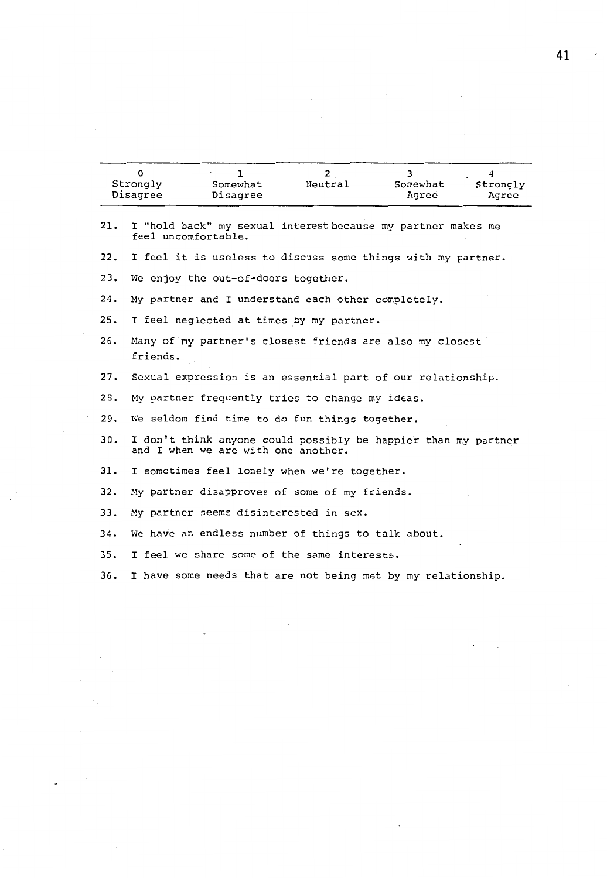| Strongly | Somewhat | Neutral | Somewhat | Strongly |
|----------|----------|---------|----------|----------|
| Disagree | Disagree |         | Agree    | Agree    |

 $\cdot$ 

 $\ddot{\phantom{0}}$ 

| 21. | I "hold back" my sexual interest because my partner makes me<br>feel uncomfortable.                   |
|-----|-------------------------------------------------------------------------------------------------------|
| 22. | I feel it is useless to discuss some things with my partner.                                          |
| 23. | We enjoy the out-of-doors together.                                                                   |
| 24. | My partner and I understand each other completely.                                                    |
| 25. | I feel neglected at times by my partner.                                                              |
| 26. | Many of my partner's closest friends are also my closest<br>friends.                                  |
| 27. | Sexual expression is an essential part of our relationship.                                           |
| 28. | My partner frequently tries to change my ideas.                                                       |
| 29. | We seldom find time to do fun things together.                                                        |
| 30. | I don't think anyone could possibly be happier than my partner<br>and I when we are with one another. |
| 31. | I sometimes feel lonely when we're together.                                                          |
| 32. | My partner disapproves of some of my friends.                                                         |
| 33. | My partner seems disinterested in sex.                                                                |
| 34. | We have an endless number of things to talk about.                                                    |
| 35. | I feel we share some of the same interests.                                                           |
| 36. | I have some needs that are not being met by my relationship.                                          |

 $\ddot{\phantom{0}}$  $\overline{\phantom{a}}$ 

 $\cdot$ 

 $\ddot{\phantom{0}}$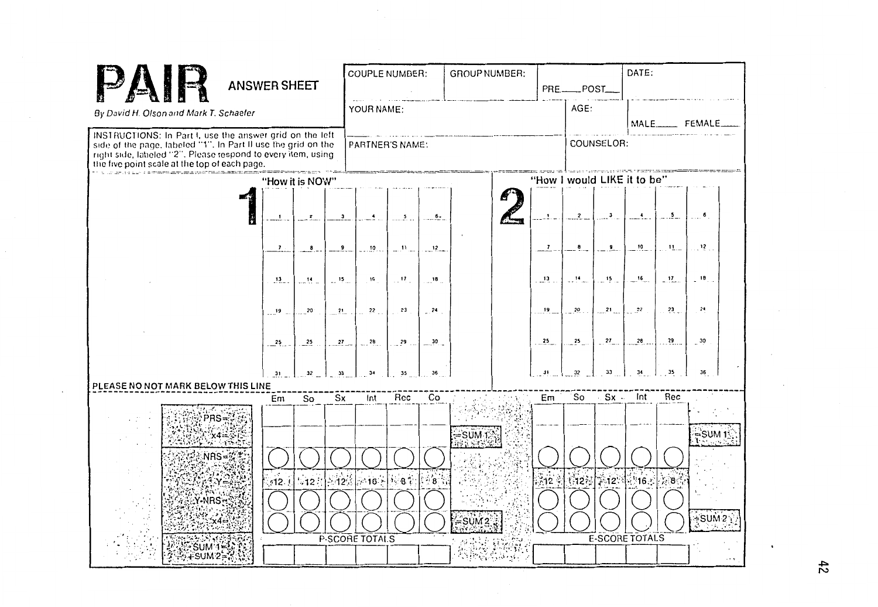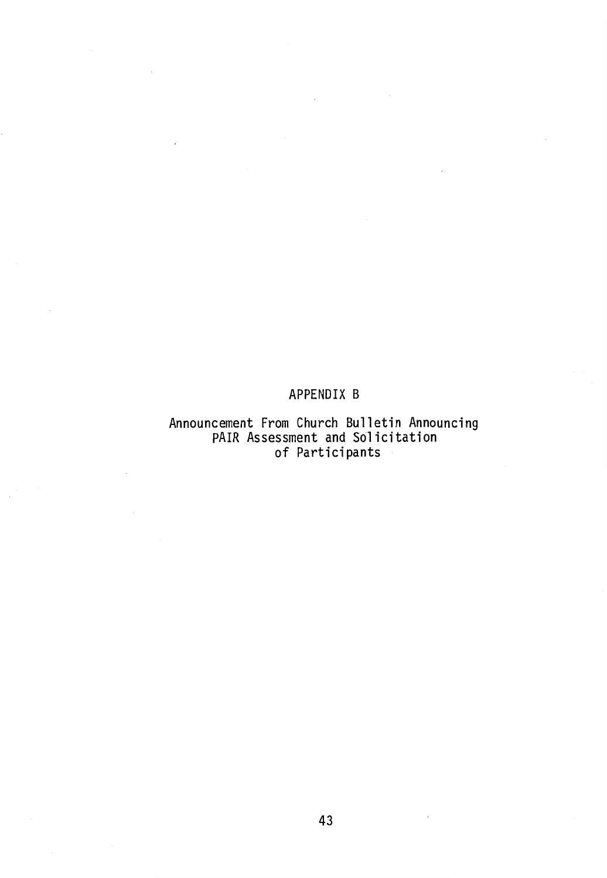## APPENDIX B

# Announcement From Church Bulletin Announcing PAIR Assessment and Solicitation of Participants